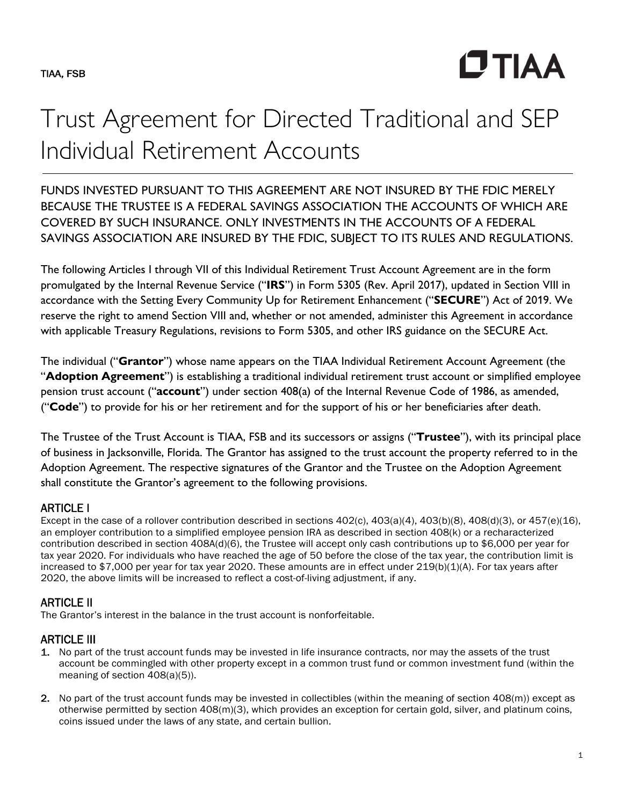**CTIAA** 

# Trust Agreement for Directed Traditional and SEP Individual Retirement Accounts

FUNDS INVESTED PURSUANT TO THIS AGREEMENT ARE NOT INSURED BY THE FDIC MERELY BECAUSE THE TRUSTEE IS A FEDERAL SAVINGS ASSOCIATION THE ACCOUNTS OF WHICH ARE COVERED BY SUCH INSURANCE. ONLY INVESTMENTS IN THE ACCOUNTS OF A FEDERAL SAVINGS ASSOCIATION ARE INSURED BY THE FDIC, SUBJECT TO ITS RULES AND REGULATIONS.

The following Articles I through VII of this Individual Retirement Trust Account Agreement are in the form promulgated by the Internal Revenue Service ("**IRS**") in Form 5305 (Rev. April 2017), updated in Section VIII in accordance with the Setting Every Community Up for Retirement Enhancement ("**SECURE**") Act of 2019. We reserve the right to amend Section VIII and, whether or not amended, administer this Agreement in accordance with applicable Treasury Regulations, revisions to Form 5305, and other IRS guidance on the SECURE Act.

The individual ("**Grantor**") whose name appears on the TIAA Individual Retirement Account Agreement (the "**Adoption Agreement**") is establishing a traditional individual retirement trust account or simplified employee pension trust account ("**account**") under section 408(a) of the Internal Revenue Code of 1986, as amended, ("**Code**") to provide for his or her retirement and for the support of his or her beneficiaries after death.

The Trustee of the Trust Account is TIAA, FSB and its successors or assigns ("**Trustee**"), with its principal place of business in Jacksonville, Florida. The Grantor has assigned to the trust account the property referred to in the Adoption Agreement. The respective signatures of the Grantor and the Trustee on the Adoption Agreement shall constitute the Grantor's agreement to the following provisions.

# ARTICLE I

Except in the case of a rollover contribution described in sections  $402(c)$ ,  $403(a)(4)$ ,  $403(b)(8)$ ,  $408(d)(3)$ , or  $457(e)(16)$ , an employer contribution to a simplified employee pension IRA as described in section 408(k) or a recharacterized contribution described in section 408A(d)(6), the Trustee will accept only cash contributions up to \$6,000 per year for tax year 2020. For individuals who have reached the age of 50 before the close of the tax year, the contribution limit is increased to \$7,000 per year for tax year 2020. These amounts are in effect under 219(b)(1)(A). For tax years after 2020, the above limits will be increased to reflect a cost-of-living adjustment, if any.

# ARTICLE II

The Grantor's interest in the balance in the trust account is nonforfeitable.

# ARTICLE III

- 1. No part of the trust account funds may be invested in life insurance contracts, nor may the assets of the trust account be commingled with other property except in a common trust fund or common investment fund (within the meaning of section 408(a)(5)).
- 2. No part of the trust account funds may be invested in collectibles (within the meaning of section 408(m)) except as otherwise permitted by section 408(m)(3), which provides an exception for certain gold, silver, and platinum coins, coins issued under the laws of any state, and certain bullion.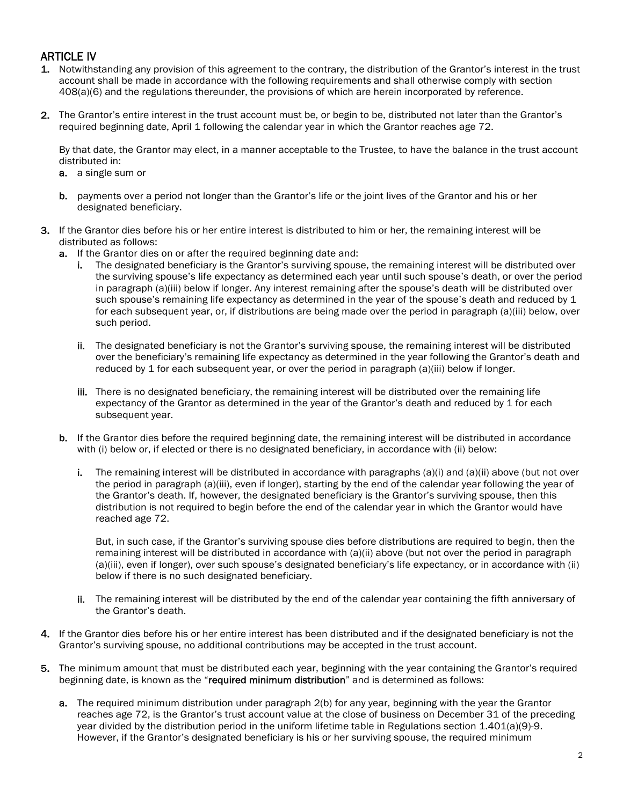# ARTICLE IV

- 1. Notwithstanding any provision of this agreement to the contrary, the distribution of the Grantor's interest in the trust account shall be made in accordance with the following requirements and shall otherwise comply with section 408(a)(6) and the regulations thereunder, the provisions of which are herein incorporated by reference.
- 2. The Grantor's entire interest in the trust account must be, or begin to be, distributed not later than the Grantor's required beginning date, April 1 following the calendar year in which the Grantor reaches age 72.

By that date, the Grantor may elect, in a manner acceptable to the Trustee, to have the balance in the trust account distributed in:

- a. a single sum or
- b. payments over a period not longer than the Grantor's life or the joint lives of the Grantor and his or her designated beneficiary.
- 3. If the Grantor dies before his or her entire interest is distributed to him or her, the remaining interest will be distributed as follows:
	- a. If the Grantor dies on or after the required beginning date and:
		- i. The designated beneficiary is the Grantor's surviving spouse, the remaining interest will be distributed over the surviving spouse's life expectancy as determined each year until such spouse's death, or over the period in paragraph (a)(iii) below if longer. Any interest remaining after the spouse's death will be distributed over such spouse's remaining life expectancy as determined in the year of the spouse's death and reduced by 1 for each subsequent year, or, if distributions are being made over the period in paragraph (a)(iii) below, over such period.
		- ii. The designated beneficiary is not the Grantor's surviving spouse, the remaining interest will be distributed over the beneficiary's remaining life expectancy as determined in the year following the Grantor's death and reduced by 1 for each subsequent year, or over the period in paragraph (a)(iii) below if longer.
		- iii. There is no designated beneficiary, the remaining interest will be distributed over the remaining life expectancy of the Grantor as determined in the year of the Grantor's death and reduced by 1 for each subsequent year.
	- b. If the Grantor dies before the required beginning date, the remaining interest will be distributed in accordance with (i) below or, if elected or there is no designated beneficiary, in accordance with (ii) below:
		- i. The remaining interest will be distributed in accordance with paragraphs (a)(i) and (a)(ii) above (but not over the period in paragraph (a)(iii), even if longer), starting by the end of the calendar year following the year of the Grantor's death. If, however, the designated beneficiary is the Grantor's surviving spouse, then this distribution is not required to begin before the end of the calendar year in which the Grantor would have reached age 72.

But, in such case, if the Grantor's surviving spouse dies before distributions are required to begin, then the remaining interest will be distributed in accordance with (a)(ii) above (but not over the period in paragraph (a)(iii), even if longer), over such spouse's designated beneficiary's life expectancy, or in accordance with (ii) below if there is no such designated beneficiary.

- ii. The remaining interest will be distributed by the end of the calendar year containing the fifth anniversary of the Grantor's death.
- 4. If the Grantor dies before his or her entire interest has been distributed and if the designated beneficiary is not the Grantor's surviving spouse, no additional contributions may be accepted in the trust account.
- 5. The minimum amount that must be distributed each year, beginning with the year containing the Grantor's required beginning date, is known as the "required minimum distribution" and is determined as follows:
	- a. The required minimum distribution under paragraph 2(b) for any year, beginning with the year the Grantor reaches age 72, is the Grantor's trust account value at the close of business on December 31 of the preceding year divided by the distribution period in the uniform lifetime table in Regulations section 1.401(a)(9)-9. However, if the Grantor's designated beneficiary is his or her surviving spouse, the required minimum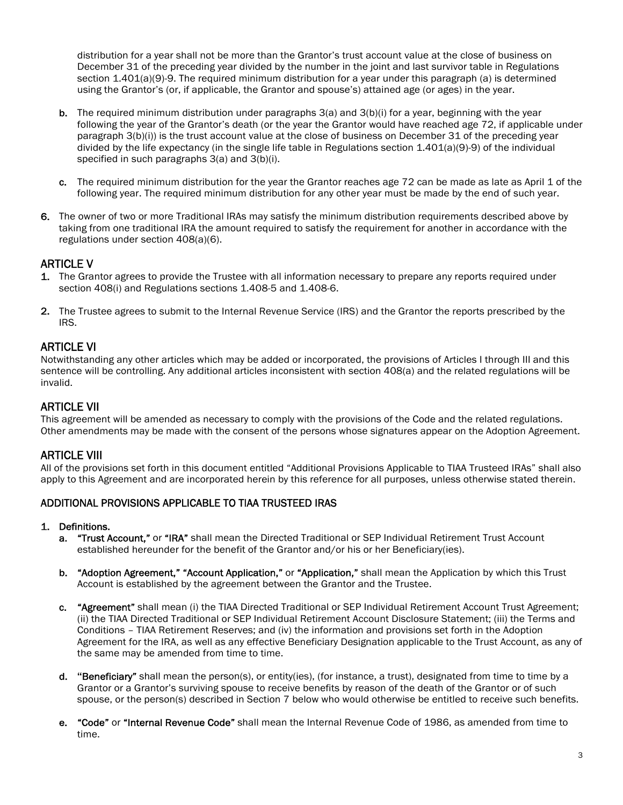distribution for a year shall not be more than the Grantor's trust account value at the close of business on December 31 of the preceding year divided by the number in the joint and last survivor table in Regulations section 1.401(a)(9)-9. The required minimum distribution for a year under this paragraph (a) is determined using the Grantor's (or, if applicable, the Grantor and spouse's) attained age (or ages) in the year.

- **b.** The required minimum distribution under paragraphs  $3(a)$  and  $3(b)(i)$  for a year, beginning with the year following the year of the Grantor's death (or the year the Grantor would have reached age 72, if applicable under paragraph 3(b)(i)) is the trust account value at the close of business on December 31 of the preceding year divided by the life expectancy (in the single life table in Regulations section 1.401(a)(9)-9) of the individual specified in such paragraphs 3(a) and 3(b)(i).
- c. The required minimum distribution for the year the Grantor reaches age 72 can be made as late as April 1 of the following year. The required minimum distribution for any other year must be made by the end of such year.
- 6. The owner of two or more Traditional IRAs may satisfy the minimum distribution requirements described above by taking from one traditional IRA the amount required to satisfy the requirement for another in accordance with the regulations under section 408(a)(6).

# ARTICLE V

- 1. The Grantor agrees to provide the Trustee with all information necessary to prepare any reports required under section 408(i) and Regulations sections 1.408-5 and 1.408-6.
- 2. The Trustee agrees to submit to the Internal Revenue Service (IRS) and the Grantor the reports prescribed by the IRS.

## ARTICLE VI

Notwithstanding any other articles which may be added or incorporated, the provisions of Articles I through III and this sentence will be controlling. Any additional articles inconsistent with section 408(a) and the related regulations will be invalid.

## ARTICLE VII

This agreement will be amended as necessary to comply with the provisions of the Code and the related regulations. Other amendments may be made with the consent of the persons whose signatures appear on the Adoption Agreement.

## ARTICLE VIII

All of the provisions set forth in this document entitled "Additional Provisions Applicable to TIAA Trusteed IRAs" shall also apply to this Agreement and are incorporated herein by this reference for all purposes, unless otherwise stated therein.

## ADDITIONAL PROVISIONS APPLICABLE TO TIAA TRUSTEED IRAS

#### 1. Definitions.

- a. "Trust Account," or "IRA" shall mean the Directed Traditional or SEP Individual Retirement Trust Account established hereunder for the benefit of the Grantor and/or his or her Beneficiary(ies).
- b. "Adoption Agreement," "Account Application," or "Application," shall mean the Application by which this Trust Account is established by the agreement between the Grantor and the Trustee.
- c. "Agreement" shall mean (i) the TIAA Directed Traditional or SEP Individual Retirement Account Trust Agreement; (ii) the TIAA Directed Traditional or SEP Individual Retirement Account Disclosure Statement; (iii) the Terms and Conditions – TIAA Retirement Reserves; and (iv) the information and provisions set forth in the Adoption Agreement for the IRA, as well as any effective Beneficiary Designation applicable to the Trust Account, as any of the same may be amended from time to time.
- d. **"**Beneficiary" shall mean the person(s), or entity(ies), (for instance, a trust), designated from time to time by a Grantor or a Grantor's surviving spouse to receive benefits by reason of the death of the Grantor or of such spouse, or the person(s) described in Section 7 below who would otherwise be entitled to receive such benefits.
- e. "Code" or "Internal Revenue Code" shall mean the Internal Revenue Code of 1986, as amended from time to time.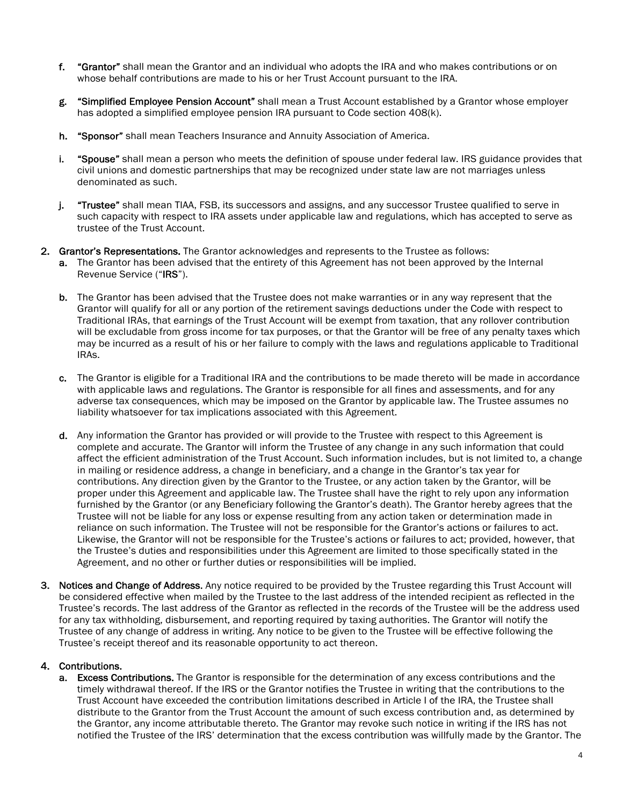- f. "Grantor" shall mean the Grantor and an individual who adopts the IRA and who makes contributions or on whose behalf contributions are made to his or her Trust Account pursuant to the IRA.
- g. "Simplified Employee Pension Account" shall mean a Trust Account established by a Grantor whose employer has adopted a simplified employee pension IRA pursuant to Code section 408(k).
- h. "Sponsor" shall mean Teachers Insurance and Annuity Association of America.
- i. "Spouse" shall mean a person who meets the definition of spouse under federal law. IRS guidance provides that civil unions and domestic partnerships that may be recognized under state law are not marriages unless denominated as such.
- j. "Trustee" shall mean TIAA, FSB, its successors and assigns, and any successor Trustee qualified to serve in such capacity with respect to IRA assets under applicable law and regulations, which has accepted to serve as trustee of the Trust Account.
- 2. Grantor's Representations. The Grantor acknowledges and represents to the Trustee as follows:
	- a. The Grantor has been advised that the entirety of this Agreement has not been approved by the Internal Revenue Service ("IRS").
	- b. The Grantor has been advised that the Trustee does not make warranties or in any way represent that the Grantor will qualify for all or any portion of the retirement savings deductions under the Code with respect to Traditional IRAs, that earnings of the Trust Account will be exempt from taxation, that any rollover contribution will be excludable from gross income for tax purposes, or that the Grantor will be free of any penalty taxes which may be incurred as a result of his or her failure to comply with the laws and regulations applicable to Traditional IRAs.
	- c. The Grantor is eligible for a Traditional IRA and the contributions to be made thereto will be made in accordance with applicable laws and regulations. The Grantor is responsible for all fines and assessments, and for any adverse tax consequences, which may be imposed on the Grantor by applicable law. The Trustee assumes no liability whatsoever for tax implications associated with this Agreement.
	- d. Any information the Grantor has provided or will provide to the Trustee with respect to this Agreement is complete and accurate. The Grantor will inform the Trustee of any change in any such information that could affect the efficient administration of the Trust Account. Such information includes, but is not limited to, a change in mailing or residence address, a change in beneficiary, and a change in the Grantor's tax year for contributions. Any direction given by the Grantor to the Trustee, or any action taken by the Grantor, will be proper under this Agreement and applicable law. The Trustee shall have the right to rely upon any information furnished by the Grantor (or any Beneficiary following the Grantor's death). The Grantor hereby agrees that the Trustee will not be liable for any loss or expense resulting from any action taken or determination made in reliance on such information. The Trustee will not be responsible for the Grantor's actions or failures to act. Likewise, the Grantor will not be responsible for the Trustee's actions or failures to act; provided, however, that the Trustee's duties and responsibilities under this Agreement are limited to those specifically stated in the Agreement, and no other or further duties or responsibilities will be implied.
- 3. Notices and Change of Address. Any notice required to be provided by the Trustee regarding this Trust Account will be considered effective when mailed by the Trustee to the last address of the intended recipient as reflected in the Trustee's records. The last address of the Grantor as reflected in the records of the Trustee will be the address used for any tax withholding, disbursement, and reporting required by taxing authorities. The Grantor will notify the Trustee of any change of address in writing. Any notice to be given to the Trustee will be effective following the Trustee's receipt thereof and its reasonable opportunity to act thereon.

#### 4. Contributions.

a. Excess Contributions. The Grantor is responsible for the determination of any excess contributions and the timely withdrawal thereof. If the IRS or the Grantor notifies the Trustee in writing that the contributions to the Trust Account have exceeded the contribution limitations described in Article I of the IRA, the Trustee shall distribute to the Grantor from the Trust Account the amount of such excess contribution and, as determined by the Grantor, any income attributable thereto. The Grantor may revoke such notice in writing if the IRS has not notified the Trustee of the IRS' determination that the excess contribution was willfully made by the Grantor. The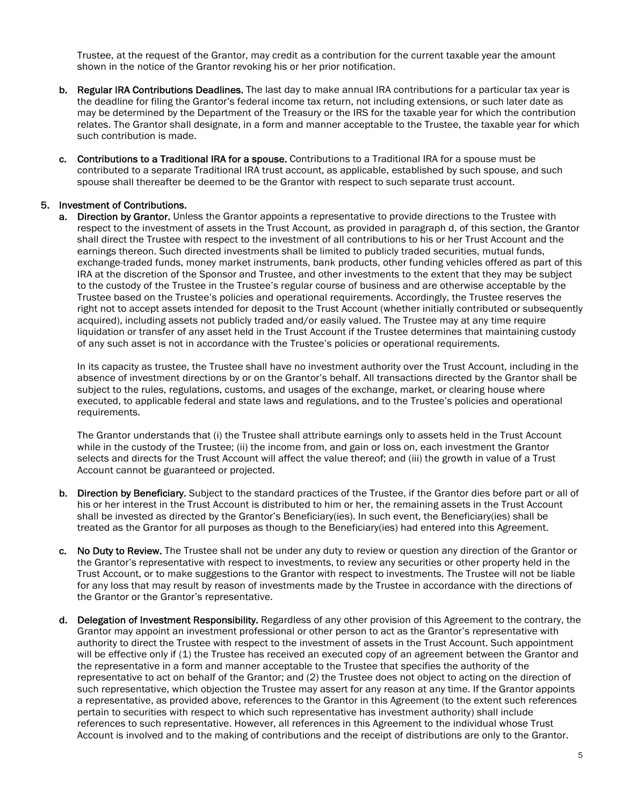Trustee, at the request of the Grantor, may credit as a contribution for the current taxable year the amount shown in the notice of the Grantor revoking his or her prior notification.

- b. Regular IRA Contributions Deadlines. The last day to make annual IRA contributions for a particular tax year is the deadline for filing the Grantor's federal income tax return, not including extensions, or such later date as may be determined by the Department of the Treasury or the IRS for the taxable year for which the contribution relates. The Grantor shall designate, in a form and manner acceptable to the Trustee, the taxable year for which such contribution is made.
- c. Contributions to a Traditional IRA for a spouse. Contributions to a Traditional IRA for a spouse must be contributed to a separate Traditional IRA trust account, as applicable, established by such spouse, and such spouse shall thereafter be deemed to be the Grantor with respect to such separate trust account.

#### 5. Investment of Contributions.

a. Direction by Grantor. Unless the Grantor appoints a representative to provide directions to the Trustee with respect to the investment of assets in the Trust Account, as provided in paragraph d, of this section, the Grantor shall direct the Trustee with respect to the investment of all contributions to his or her Trust Account and the earnings thereon. Such directed investments shall be limited to publicly traded securities, mutual funds, exchange-traded funds, money market instruments, bank products, other funding vehicles offered as part of this IRA at the discretion of the Sponsor and Trustee, and other investments to the extent that they may be subject to the custody of the Trustee in the Trustee's regular course of business and are otherwise acceptable by the Trustee based on the Trustee's policies and operational requirements. Accordingly, the Trustee reserves the right not to accept assets intended for deposit to the Trust Account (whether initially contributed or subsequently acquired), including assets not publicly traded and/or easily valued. The Trustee may at any time require liquidation or transfer of any asset held in the Trust Account if the Trustee determines that maintaining custody of any such asset is not in accordance with the Trustee's policies or operational requirements.

In its capacity as trustee, the Trustee shall have no investment authority over the Trust Account, including in the absence of investment directions by or on the Grantor's behalf. All transactions directed by the Grantor shall be subject to the rules, regulations, customs, and usages of the exchange, market, or clearing house where executed, to applicable federal and state laws and regulations, and to the Trustee's policies and operational requirements.

The Grantor understands that (i) the Trustee shall attribute earnings only to assets held in the Trust Account while in the custody of the Trustee; (ii) the income from, and gain or loss on, each investment the Grantor selects and directs for the Trust Account will affect the value thereof; and (iii) the growth in value of a Trust Account cannot be guaranteed or projected.

- b. Direction by Beneficiary. Subject to the standard practices of the Trustee, if the Grantor dies before part or all of his or her interest in the Trust Account is distributed to him or her, the remaining assets in the Trust Account shall be invested as directed by the Grantor's Beneficiary(ies). In such event, the Beneficiary(ies) shall be treated as the Grantor for all purposes as though to the Beneficiary(ies) had entered into this Agreement.
- c. No Duty to Review. The Trustee shall not be under any duty to review or question any direction of the Grantor or the Grantor's representative with respect to investments, to review any securities or other property held in the Trust Account, or to make suggestions to the Grantor with respect to investments. The Trustee will not be liable for any loss that may result by reason of investments made by the Trustee in accordance with the directions of the Grantor or the Grantor's representative.
- d. Delegation of Investment Responsibility. Regardless of any other provision of this Agreement to the contrary, the Grantor may appoint an investment professional or other person to act as the Grantor's representative with authority to direct the Trustee with respect to the investment of assets in the Trust Account. Such appointment will be effective only if (1) the Trustee has received an executed copy of an agreement between the Grantor and the representative in a form and manner acceptable to the Trustee that specifies the authority of the representative to act on behalf of the Grantor; and (2) the Trustee does not object to acting on the direction of such representative, which objection the Trustee may assert for any reason at any time. If the Grantor appoints a representative, as provided above, references to the Grantor in this Agreement (to the extent such references pertain to securities with respect to which such representative has investment authority) shall include references to such representative. However, all references in this Agreement to the individual whose Trust Account is involved and to the making of contributions and the receipt of distributions are only to the Grantor.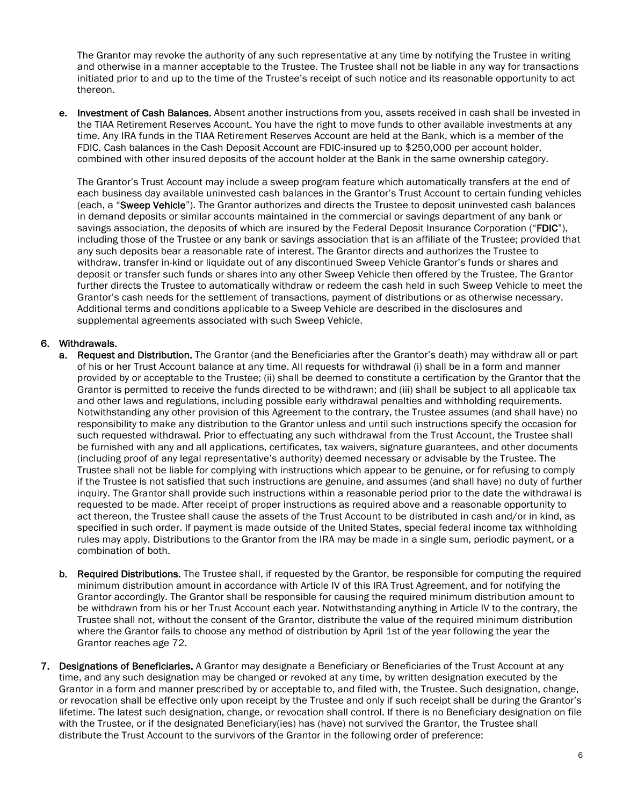The Grantor may revoke the authority of any such representative at any time by notifying the Trustee in writing and otherwise in a manner acceptable to the Trustee. The Trustee shall not be liable in any way for transactions initiated prior to and up to the time of the Trustee's receipt of such notice and its reasonable opportunity to act thereon.

e. Investment of Cash Balances. Absent another instructions from you, assets received in cash shall be invested in the TIAA Retirement Reserves Account. You have the right to move funds to other available investments at any time. Any IRA funds in the TIAA Retirement Reserves Account are held at the Bank, which is a member of the FDIC. Cash balances in the Cash Deposit Account are FDIC-insured up to \$250,000 per account holder, combined with other insured deposits of the account holder at the Bank in the same ownership category.

The Grantor's Trust Account may include a sweep program feature which automatically transfers at the end of each business day available uninvested cash balances in the Grantor's Trust Account to certain funding vehicles (each, a "Sweep Vehicle"). The Grantor authorizes and directs the Trustee to deposit uninvested cash balances in demand deposits or similar accounts maintained in the commercial or savings department of any bank or savings association, the deposits of which are insured by the Federal Deposit Insurance Corporation ("FDIC"), including those of the Trustee or any bank or savings association that is an affiliate of the Trustee; provided that any such deposits bear a reasonable rate of interest. The Grantor directs and authorizes the Trustee to withdraw, transfer in-kind or liquidate out of any discontinued Sweep Vehicle Grantor's funds or shares and deposit or transfer such funds or shares into any other Sweep Vehicle then offered by the Trustee. The Grantor further directs the Trustee to automatically withdraw or redeem the cash held in such Sweep Vehicle to meet the Grantor's cash needs for the settlement of transactions, payment of distributions or as otherwise necessary. Additional terms and conditions applicable to a Sweep Vehicle are described in the disclosures and supplemental agreements associated with such Sweep Vehicle.

#### 6. Withdrawals.

- a. Request and Distribution. The Grantor (and the Beneficiaries after the Grantor's death) may withdraw all or part of his or her Trust Account balance at any time. All requests for withdrawal (i) shall be in a form and manner provided by or acceptable to the Trustee; (ii) shall be deemed to constitute a certification by the Grantor that the Grantor is permitted to receive the funds directed to be withdrawn; and (iii) shall be subject to all applicable tax and other laws and regulations, including possible early withdrawal penalties and withholding requirements. Notwithstanding any other provision of this Agreement to the contrary, the Trustee assumes (and shall have) no responsibility to make any distribution to the Grantor unless and until such instructions specify the occasion for such requested withdrawal. Prior to effectuating any such withdrawal from the Trust Account, the Trustee shall be furnished with any and all applications, certificates, tax waivers, signature guarantees, and other documents (including proof of any legal representative's authority) deemed necessary or advisable by the Trustee. The Trustee shall not be liable for complying with instructions which appear to be genuine, or for refusing to comply if the Trustee is not satisfied that such instructions are genuine, and assumes (and shall have) no duty of further inquiry. The Grantor shall provide such instructions within a reasonable period prior to the date the withdrawal is requested to be made. After receipt of proper instructions as required above and a reasonable opportunity to act thereon, the Trustee shall cause the assets of the Trust Account to be distributed in cash and/or in kind, as specified in such order. If payment is made outside of the United States, special federal income tax withholding rules may apply. Distributions to the Grantor from the IRA may be made in a single sum, periodic payment, or a combination of both.
- b. Required Distributions. The Trustee shall, if requested by the Grantor, be responsible for computing the required minimum distribution amount in accordance with Article IV of this IRA Trust Agreement, and for notifying the Grantor accordingly. The Grantor shall be responsible for causing the required minimum distribution amount to be withdrawn from his or her Trust Account each year. Notwithstanding anything in Article IV to the contrary, the Trustee shall not, without the consent of the Grantor, distribute the value of the required minimum distribution where the Grantor fails to choose any method of distribution by April 1st of the year following the year the Grantor reaches age 72.
- 7. Designations of Beneficiaries. A Grantor may designate a Beneficiary or Beneficiaries of the Trust Account at any time, and any such designation may be changed or revoked at any time, by written designation executed by the Grantor in a form and manner prescribed by or acceptable to, and filed with, the Trustee. Such designation, change, or revocation shall be effective only upon receipt by the Trustee and only if such receipt shall be during the Grantor's lifetime. The latest such designation, change, or revocation shall control. If there is no Beneficiary designation on file with the Trustee, or if the designated Beneficiary(ies) has (have) not survived the Grantor, the Trustee shall distribute the Trust Account to the survivors of the Grantor in the following order of preference: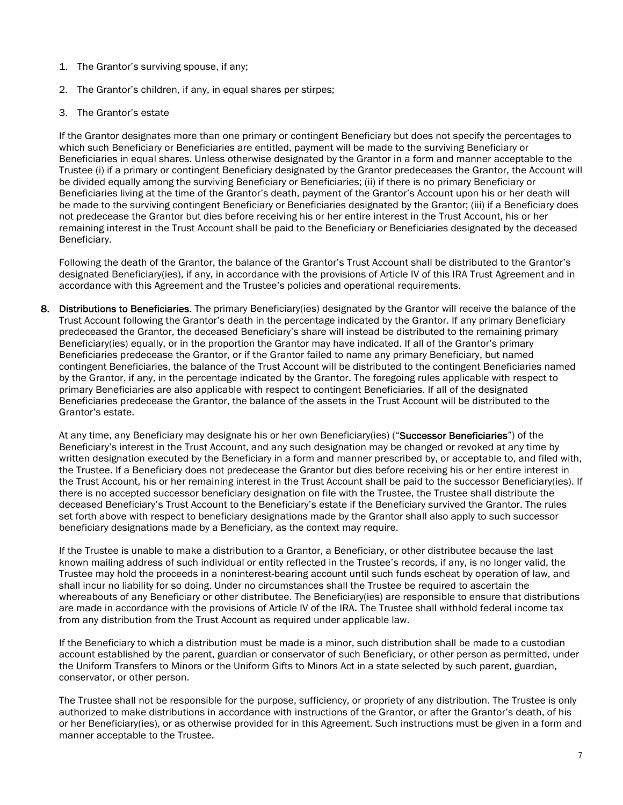- 1. The Grantor's surviving spouse, if any;
- 2. The Grantor's children, if any, in equal shares per stirpes;
- 3. The Grantor's estate

If the Grantor designates more than one primary or contingent Beneficiary but does not specify the percentages to which such Beneficiary or Beneficiaries are entitled, payment will be made to the surviving Beneficiary or Beneficiaries in equal shares. Unless otherwise designated by the Grantor in a form and manner acceptable to the Trustee (i) if a primary or contingent Beneficiary designated by the Grantor predeceases the Grantor, the Account will be divided equally among the surviving Beneficiary or Beneficiaries; (ii) if there is no primary Beneficiary or Beneficiaries living at the time of the Grantor's death, payment of the Grantor's Account upon his or her death will be made to the surviving contingent Beneficiary or Beneficiaries designated by the Grantor; (iii) if a Beneficiary does not predecease the Grantor but dies before receiving his or her entire interest in the Trust Account, his or her remaining interest in the Trust Account shall be paid to the Beneficiary or Beneficiaries designated by the deceased Beneficiary.

Following the death of the Grantor, the balance of the Grantor's Trust Account shall be distributed to the Grantor's designated Beneficiary(ies), if any, in accordance with the provisions of Article IV of this IRA Trust Agreement and in accordance with this Agreement and the Trustee's policies and operational requirements.

8. Distributions to Beneficiaries. The primary Beneficiary(ies) designated by the Grantor will receive the balance of the Trust Account following the Grantor's death in the percentage indicated by the Grantor. If any primary Beneficiary predeceased the Grantor, the deceased Beneficiary's share will instead be distributed to the remaining primary Beneficiary(ies) equally, or in the proportion the Grantor may have indicated. If all of the Grantor's primary Beneficiaries predecease the Grantor, or if the Grantor failed to name any primary Beneficiary, but named contingent Beneficiaries, the balance of the Trust Account will be distributed to the contingent Beneficiaries named by the Grantor, if any, in the percentage indicated by the Grantor. The foregoing rules applicable with respect to primary Beneficiaries are also applicable with respect to contingent Beneficiaries. If all of the designated Beneficiaries predecease the Grantor, the balance of the assets in the Trust Account will be distributed to the Grantor's estate.

At any time, any Beneficiary may designate his or her own Beneficiary(ies) ("Successor Beneficiaries") of the Beneficiary's interest in the Trust Account, and any such designation may be changed or revoked at any time by written designation executed by the Beneficiary in a form and manner prescribed by, or acceptable to, and filed with, the Trustee. If a Beneficiary does not predecease the Grantor but dies before receiving his or her entire interest in the Trust Account, his or her remaining interest in the Trust Account shall be paid to the successor Beneficiary(ies). If there is no accepted successor beneficiary designation on file with the Trustee, the Trustee shall distribute the deceased Beneficiary's Trust Account to the Beneficiary's estate if the Beneficiary survived the Grantor. The rules set forth above with respect to beneficiary designations made by the Grantor shall also apply to such successor beneficiary designations made by a Beneficiary, as the context may require.

If the Trustee is unable to make a distribution to a Grantor, a Beneficiary, or other distributee because the last known mailing address of such individual or entity reflected in the Trustee's records, if any, is no longer valid, the Trustee may hold the proceeds in a noninterest-bearing account until such funds escheat by operation of law, and shall incur no liability for so doing. Under no circumstances shall the Trustee be required to ascertain the whereabouts of any Beneficiary or other distributee. The Beneficiary(ies) are responsible to ensure that distributions are made in accordance with the provisions of Article IV of the IRA. The Trustee shall withhold federal income tax from any distribution from the Trust Account as required under applicable law.

If the Beneficiary to which a distribution must be made is a minor, such distribution shall be made to a custodian account established by the parent, guardian or conservator of such Beneficiary, or other person as permitted, under the Uniform Transfers to Minors or the Uniform Gifts to Minors Act in a state selected by such parent, guardian, conservator, or other person.

The Trustee shall not be responsible for the purpose, sufficiency, or propriety of any distribution. The Trustee is only authorized to make distributions in accordance with instructions of the Grantor, or after the Grantor's death, of his or her Beneficiary(ies), or as otherwise provided for in this Agreement. Such instructions must be given in a form and manner acceptable to the Trustee.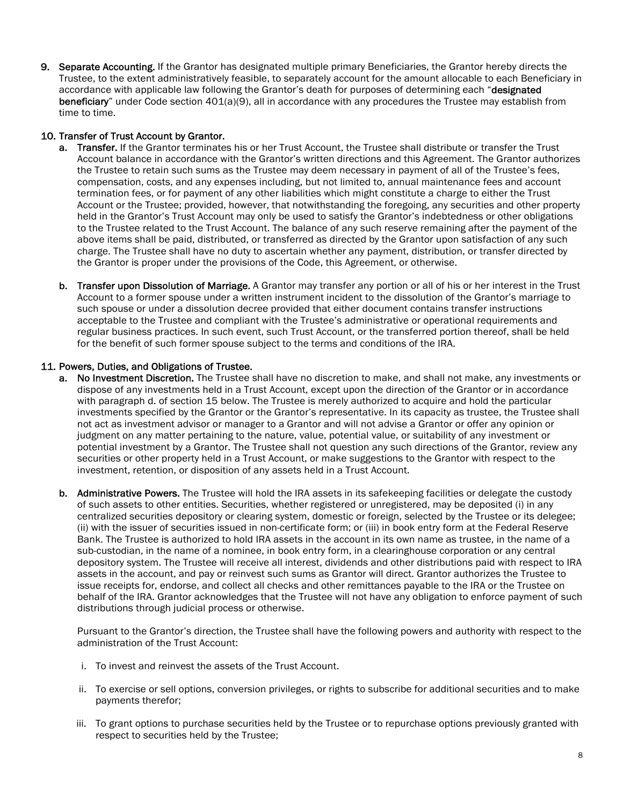9. Separate Accounting. If the Grantor has designated multiple primary Beneficiaries, the Grantor hereby directs the Trustee, to the extent administratively feasible, to separately account for the amount allocable to each Beneficiary in accordance with applicable law following the Grantor's death for purposes of determining each "designated beneficiary" under Code section 401(a)(9), all in accordance with any procedures the Trustee may establish from time to time.

#### 10. Transfer of Trust Account by Grantor.

- a. Transfer. If the Grantor terminates his or her Trust Account, the Trustee shall distribute or transfer the Trust Account balance in accordance with the Grantor's written directions and this Agreement. The Grantor authorizes the Trustee to retain such sums as the Trustee may deem necessary in payment of all of the Trustee's fees, compensation, costs, and any expenses including, but not limited to, annual maintenance fees and account termination fees, or for payment of any other liabilities which might constitute a charge to either the Trust Account or the Trustee; provided, however, that notwithstanding the foregoing, any securities and other property held in the Grantor's Trust Account may only be used to satisfy the Grantor's indebtedness or other obligations to the Trustee related to the Trust Account. The balance of any such reserve remaining after the payment of the above items shall be paid, distributed, or transferred as directed by the Grantor upon satisfaction of any such charge. The Trustee shall have no duty to ascertain whether any payment, distribution, or transfer directed by the Grantor is proper under the provisions of the Code, this Agreement, or otherwise.
- b. Transfer upon Dissolution of Marriage. A Grantor may transfer any portion or all of his or her interest in the Trust Account to a former spouse under a written instrument incident to the dissolution of the Grantor's marriage to such spouse or under a dissolution decree provided that either document contains transfer instructions acceptable to the Trustee and compliant with the Trustee's administrative or operational requirements and regular business practices. In such event, such Trust Account, or the transferred portion thereof, shall be held for the benefit of such former spouse subject to the terms and conditions of the IRA.

#### 11. Powers, Duties, and Obligations of Trustee.

- a. No Investment Discretion. The Trustee shall have no discretion to make, and shall not make, any investments or dispose of any investments held in a Trust Account, except upon the direction of the Grantor or in accordance with paragraph d. of section 15 below. The Trustee is merely authorized to acquire and hold the particular investments specified by the Grantor or the Grantor's representative. In its capacity as trustee, the Trustee shall not act as investment advisor or manager to a Grantor and will not advise a Grantor or offer any opinion or judgment on any matter pertaining to the nature, value, potential value, or suitability of any investment or potential investment by a Grantor. The Trustee shall not question any such directions of the Grantor, review any securities or other property held in a Trust Account, or make suggestions to the Grantor with respect to the investment, retention, or disposition of any assets held in a Trust Account.
- b. Administrative Powers. The Trustee will hold the IRA assets in its safekeeping facilities or delegate the custody of such assets to other entities. Securities, whether registered or unregistered, may be deposited (i) in any centralized securities depository or clearing system, domestic or foreign, selected by the Trustee or its delegee; (ii) with the issuer of securities issued in non-certificate form; or (iii) in book entry form at the Federal Reserve Bank. The Trustee is authorized to hold IRA assets in the account in its own name as trustee, in the name of a sub-custodian, in the name of a nominee, in book entry form, in a clearinghouse corporation or any central depository system. The Trustee will receive all interest, dividends and other distributions paid with respect to IRA assets in the account, and pay or reinvest such sums as Grantor will direct. Grantor authorizes the Trustee to issue receipts for, endorse, and collect all checks and other remittances payable to the IRA or the Trustee on behalf of the IRA. Grantor acknowledges that the Trustee will not have any obligation to enforce payment of such distributions through judicial process or otherwise.

Pursuant to the Grantor's direction, the Trustee shall have the following powers and authority with respect to the administration of the Trust Account:

- i. To invest and reinvest the assets of the Trust Account.
- ii. To exercise or sell options, conversion privileges, or rights to subscribe for additional securities and to make payments therefor;
- iii. To grant options to purchase securities held by the Trustee or to repurchase options previously granted with respect to securities held by the Trustee;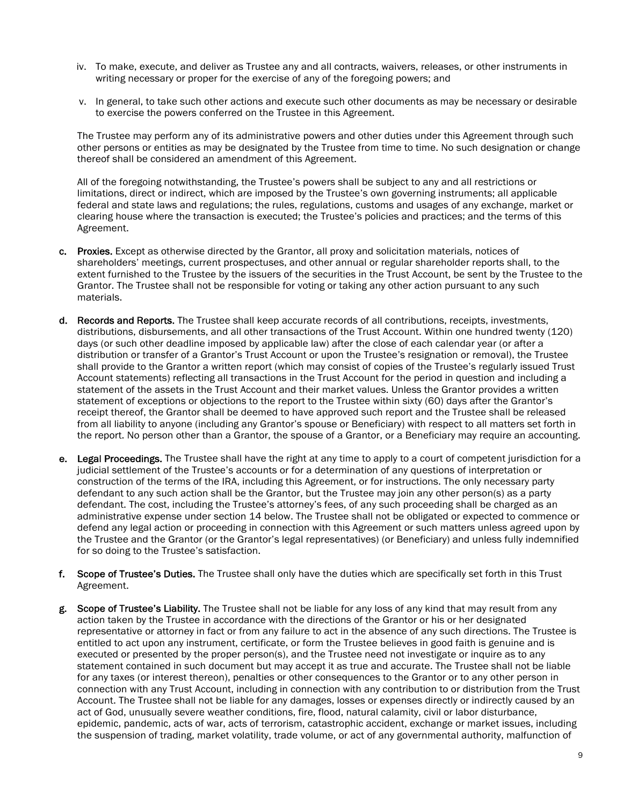- iv. To make, execute, and deliver as Trustee any and all contracts, waivers, releases, or other instruments in writing necessary or proper for the exercise of any of the foregoing powers; and
- v. In general, to take such other actions and execute such other documents as may be necessary or desirable to exercise the powers conferred on the Trustee in this Agreement.

The Trustee may perform any of its administrative powers and other duties under this Agreement through such other persons or entities as may be designated by the Trustee from time to time. No such designation or change thereof shall be considered an amendment of this Agreement.

All of the foregoing notwithstanding, the Trustee's powers shall be subject to any and all restrictions or limitations, direct or indirect, which are imposed by the Trustee's own governing instruments; all applicable federal and state laws and regulations; the rules, regulations, customs and usages of any exchange, market or clearing house where the transaction is executed; the Trustee's policies and practices; and the terms of this Agreement.

- c. Proxies. Except as otherwise directed by the Grantor, all proxy and solicitation materials, notices of shareholders' meetings, current prospectuses, and other annual or regular shareholder reports shall, to the extent furnished to the Trustee by the issuers of the securities in the Trust Account, be sent by the Trustee to the Grantor. The Trustee shall not be responsible for voting or taking any other action pursuant to any such materials.
- d. Records and Reports. The Trustee shall keep accurate records of all contributions, receipts, investments, distributions, disbursements, and all other transactions of the Trust Account. Within one hundred twenty (120) days (or such other deadline imposed by applicable law) after the close of each calendar year (or after a distribution or transfer of a Grantor's Trust Account or upon the Trustee's resignation or removal), the Trustee shall provide to the Grantor a written report (which may consist of copies of the Trustee's regularly issued Trust Account statements) reflecting all transactions in the Trust Account for the period in question and including a statement of the assets in the Trust Account and their market values. Unless the Grantor provides a written statement of exceptions or objections to the report to the Trustee within sixty (60) days after the Grantor's receipt thereof, the Grantor shall be deemed to have approved such report and the Trustee shall be released from all liability to anyone (including any Grantor's spouse or Beneficiary) with respect to all matters set forth in the report. No person other than a Grantor, the spouse of a Grantor, or a Beneficiary may require an accounting.
- e. Legal Proceedings. The Trustee shall have the right at any time to apply to a court of competent jurisdiction for a judicial settlement of the Trustee's accounts or for a determination of any questions of interpretation or construction of the terms of the IRA, including this Agreement, or for instructions. The only necessary party defendant to any such action shall be the Grantor, but the Trustee may join any other person(s) as a party defendant. The cost, including the Trustee's attorney's fees, of any such proceeding shall be charged as an administrative expense under section 14 below. The Trustee shall not be obligated or expected to commence or defend any legal action or proceeding in connection with this Agreement or such matters unless agreed upon by the Trustee and the Grantor (or the Grantor's legal representatives) (or Beneficiary) and unless fully indemnified for so doing to the Trustee's satisfaction.
- f. Scope of Trustee's Duties. The Trustee shall only have the duties which are specifically set forth in this Trust Agreement.
- g. Scope of Trustee's Liability. The Trustee shall not be liable for any loss of any kind that may result from any action taken by the Trustee in accordance with the directions of the Grantor or his or her designated representative or attorney in fact or from any failure to act in the absence of any such directions. The Trustee is entitled to act upon any instrument, certificate, or form the Trustee believes in good faith is genuine and is executed or presented by the proper person(s), and the Trustee need not investigate or inquire as to any statement contained in such document but may accept it as true and accurate. The Trustee shall not be liable for any taxes (or interest thereon), penalties or other consequences to the Grantor or to any other person in connection with any Trust Account, including in connection with any contribution to or distribution from the Trust Account. The Trustee shall not be liable for any damages, losses or expenses directly or indirectly caused by an act of God, unusually severe weather conditions, fire, flood, natural calamity, civil or labor disturbance, epidemic, pandemic, acts of war, acts of terrorism, catastrophic accident, exchange or market issues, including the suspension of trading, market volatility, trade volume, or act of any governmental authority, malfunction of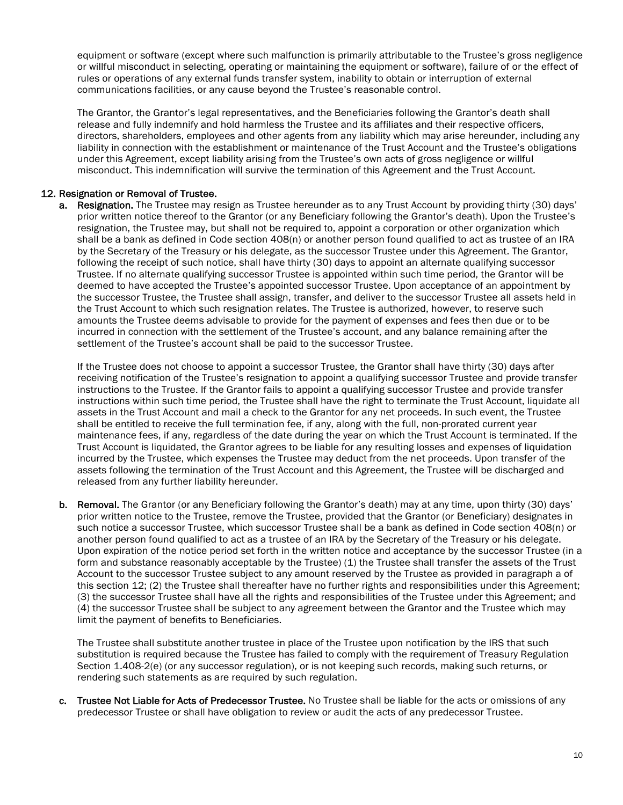equipment or software (except where such malfunction is primarily attributable to the Trustee's gross negligence or willful misconduct in selecting, operating or maintaining the equipment or software), failure of or the effect of rules or operations of any external funds transfer system, inability to obtain or interruption of external communications facilities, or any cause beyond the Trustee's reasonable control.

The Grantor, the Grantor's legal representatives, and the Beneficiaries following the Grantor's death shall release and fully indemnify and hold harmless the Trustee and its affiliates and their respective officers, directors, shareholders, employees and other agents from any liability which may arise hereunder, including any liability in connection with the establishment or maintenance of the Trust Account and the Trustee's obligations under this Agreement, except liability arising from the Trustee's own acts of gross negligence or willful misconduct. This indemnification will survive the termination of this Agreement and the Trust Account.

#### 12. Resignation or Removal of Trustee.

a. Resignation. The Trustee may resign as Trustee hereunder as to any Trust Account by providing thirty (30) days' prior written notice thereof to the Grantor (or any Beneficiary following the Grantor's death). Upon the Trustee's resignation, the Trustee may, but shall not be required to, appoint a corporation or other organization which shall be a bank as defined in Code section 408(n) or another person found qualified to act as trustee of an IRA by the Secretary of the Treasury or his delegate, as the successor Trustee under this Agreement. The Grantor, following the receipt of such notice, shall have thirty (30) days to appoint an alternate qualifying successor Trustee. If no alternate qualifying successor Trustee is appointed within such time period, the Grantor will be deemed to have accepted the Trustee's appointed successor Trustee. Upon acceptance of an appointment by the successor Trustee, the Trustee shall assign, transfer, and deliver to the successor Trustee all assets held in the Trust Account to which such resignation relates. The Trustee is authorized, however, to reserve such amounts the Trustee deems advisable to provide for the payment of expenses and fees then due or to be incurred in connection with the settlement of the Trustee's account, and any balance remaining after the settlement of the Trustee's account shall be paid to the successor Trustee.

If the Trustee does not choose to appoint a successor Trustee, the Grantor shall have thirty (30) days after receiving notification of the Trustee's resignation to appoint a qualifying successor Trustee and provide transfer instructions to the Trustee. If the Grantor fails to appoint a qualifying successor Trustee and provide transfer instructions within such time period, the Trustee shall have the right to terminate the Trust Account, liquidate all assets in the Trust Account and mail a check to the Grantor for any net proceeds. In such event, the Trustee shall be entitled to receive the full termination fee, if any, along with the full, non-prorated current year maintenance fees, if any, regardless of the date during the year on which the Trust Account is terminated. If the Trust Account is liquidated, the Grantor agrees to be liable for any resulting losses and expenses of liquidation incurred by the Trustee, which expenses the Trustee may deduct from the net proceeds. Upon transfer of the assets following the termination of the Trust Account and this Agreement, the Trustee will be discharged and released from any further liability hereunder.

b. Removal. The Grantor (or any Beneficiary following the Grantor's death) may at any time, upon thirty (30) days' prior written notice to the Trustee, remove the Trustee, provided that the Grantor (or Beneficiary) designates in such notice a successor Trustee, which successor Trustee shall be a bank as defined in Code section 408(n) or another person found qualified to act as a trustee of an IRA by the Secretary of the Treasury or his delegate. Upon expiration of the notice period set forth in the written notice and acceptance by the successor Trustee (in a form and substance reasonably acceptable by the Trustee) (1) the Trustee shall transfer the assets of the Trust Account to the successor Trustee subject to any amount reserved by the Trustee as provided in paragraph a of this section 12; (2) the Trustee shall thereafter have no further rights and responsibilities under this Agreement; (3) the successor Trustee shall have all the rights and responsibilities of the Trustee under this Agreement; and (4) the successor Trustee shall be subject to any agreement between the Grantor and the Trustee which may limit the payment of benefits to Beneficiaries.

The Trustee shall substitute another trustee in place of the Trustee upon notification by the IRS that such substitution is required because the Trustee has failed to comply with the requirement of Treasury Regulation Section 1.408-2(e) (or any successor regulation), or is not keeping such records, making such returns, or rendering such statements as are required by such regulation.

c. Trustee Not Liable for Acts of Predecessor Trustee. No Trustee shall be liable for the acts or omissions of any predecessor Trustee or shall have obligation to review or audit the acts of any predecessor Trustee.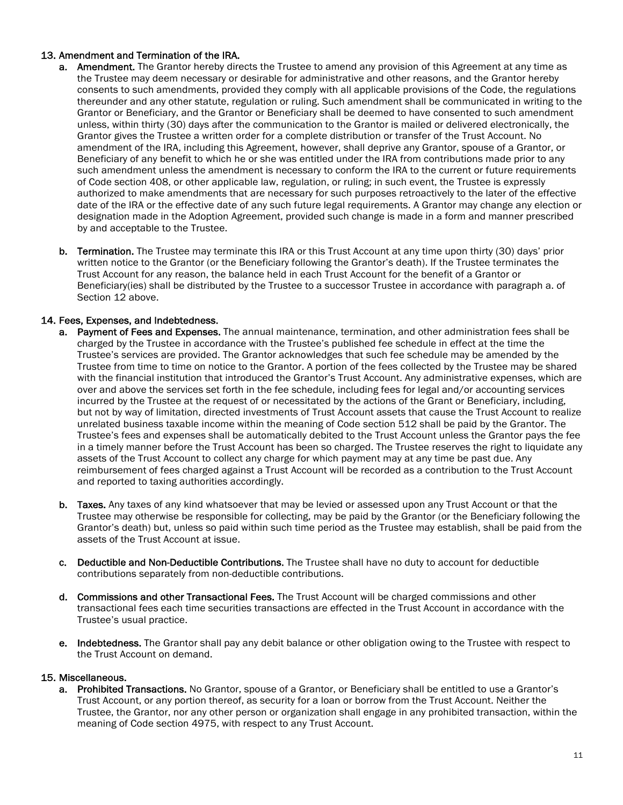#### 13. Amendment and Termination of the IRA.

- a. Amendment. The Grantor hereby directs the Trustee to amend any provision of this Agreement at any time as the Trustee may deem necessary or desirable for administrative and other reasons, and the Grantor hereby consents to such amendments, provided they comply with all applicable provisions of the Code, the regulations thereunder and any other statute, regulation or ruling. Such amendment shall be communicated in writing to the Grantor or Beneficiary, and the Grantor or Beneficiary shall be deemed to have consented to such amendment unless, within thirty (30) days after the communication to the Grantor is mailed or delivered electronically, the Grantor gives the Trustee a written order for a complete distribution or transfer of the Trust Account. No amendment of the IRA, including this Agreement, however, shall deprive any Grantor, spouse of a Grantor, or Beneficiary of any benefit to which he or she was entitled under the IRA from contributions made prior to any such amendment unless the amendment is necessary to conform the IRA to the current or future requirements of Code section 408, or other applicable law, regulation, or ruling; in such event, the Trustee is expressly authorized to make amendments that are necessary for such purposes retroactively to the later of the effective date of the IRA or the effective date of any such future legal requirements. A Grantor may change any election or designation made in the Adoption Agreement, provided such change is made in a form and manner prescribed by and acceptable to the Trustee.
- b. Termination. The Trustee may terminate this IRA or this Trust Account at any time upon thirty (30) days' prior written notice to the Grantor (or the Beneficiary following the Grantor's death). If the Trustee terminates the Trust Account for any reason, the balance held in each Trust Account for the benefit of a Grantor or Beneficiary(ies) shall be distributed by the Trustee to a successor Trustee in accordance with paragraph a. of Section 12 above.

#### 14. Fees, Expenses, and Indebtedness.

- a. Payment of Fees and Expenses. The annual maintenance, termination, and other administration fees shall be charged by the Trustee in accordance with the Trustee's published fee schedule in effect at the time the Trustee's services are provided. The Grantor acknowledges that such fee schedule may be amended by the Trustee from time to time on notice to the Grantor. A portion of the fees collected by the Trustee may be shared with the financial institution that introduced the Grantor's Trust Account. Any administrative expenses, which are over and above the services set forth in the fee schedule, including fees for legal and/or accounting services incurred by the Trustee at the request of or necessitated by the actions of the Grant or Beneficiary, including, but not by way of limitation, directed investments of Trust Account assets that cause the Trust Account to realize unrelated business taxable income within the meaning of Code section 512 shall be paid by the Grantor. The Trustee's fees and expenses shall be automatically debited to the Trust Account unless the Grantor pays the fee in a timely manner before the Trust Account has been so charged. The Trustee reserves the right to liquidate any assets of the Trust Account to collect any charge for which payment may at any time be past due. Any reimbursement of fees charged against a Trust Account will be recorded as a contribution to the Trust Account and reported to taxing authorities accordingly.
- b. Taxes. Any taxes of any kind whatsoever that may be levied or assessed upon any Trust Account or that the Trustee may otherwise be responsible for collecting, may be paid by the Grantor (or the Beneficiary following the Grantor's death) but, unless so paid within such time period as the Trustee may establish, shall be paid from the assets of the Trust Account at issue.
- c. Deductible and Non-Deductible Contributions. The Trustee shall have no duty to account for deductible contributions separately from non-deductible contributions.
- d. Commissions and other Transactional Fees. The Trust Account will be charged commissions and other transactional fees each time securities transactions are effected in the Trust Account in accordance with the Trustee's usual practice.
- e. Indebtedness. The Grantor shall pay any debit balance or other obligation owing to the Trustee with respect to the Trust Account on demand.

#### 15. Miscellaneous.

a. Prohibited Transactions. No Grantor, spouse of a Grantor, or Beneficiary shall be entitled to use a Grantor's Trust Account, or any portion thereof, as security for a loan or borrow from the Trust Account. Neither the Trustee, the Grantor, nor any other person or organization shall engage in any prohibited transaction, within the meaning of Code section 4975, with respect to any Trust Account.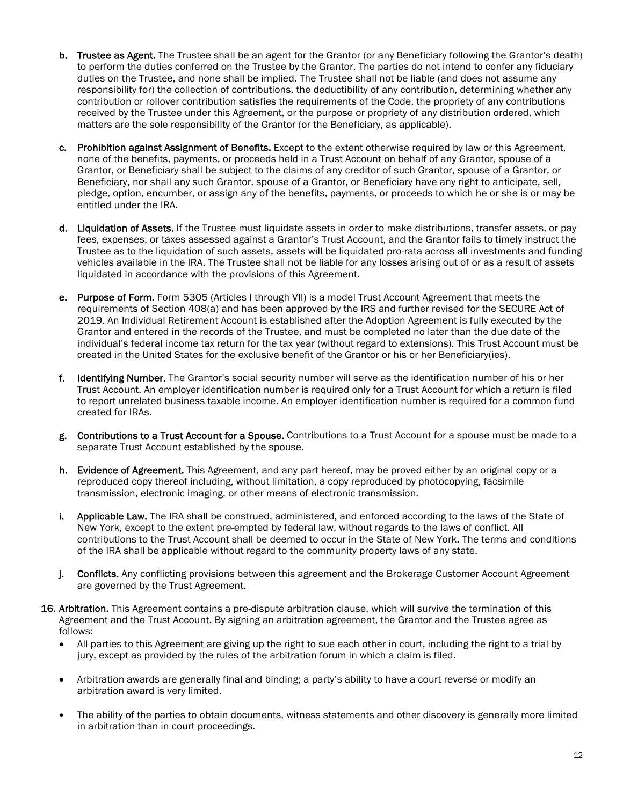- b. Trustee as Agent. The Trustee shall be an agent for the Grantor (or any Beneficiary following the Grantor's death) to perform the duties conferred on the Trustee by the Grantor. The parties do not intend to confer any fiduciary duties on the Trustee, and none shall be implied. The Trustee shall not be liable (and does not assume any responsibility for) the collection of contributions, the deductibility of any contribution, determining whether any contribution or rollover contribution satisfies the requirements of the Code, the propriety of any contributions received by the Trustee under this Agreement, or the purpose or propriety of any distribution ordered, which matters are the sole responsibility of the Grantor (or the Beneficiary, as applicable).
- c. Prohibition against Assignment of Benefits. Except to the extent otherwise required by law or this Agreement, none of the benefits, payments, or proceeds held in a Trust Account on behalf of any Grantor, spouse of a Grantor, or Beneficiary shall be subject to the claims of any creditor of such Grantor, spouse of a Grantor, or Beneficiary, nor shall any such Grantor, spouse of a Grantor, or Beneficiary have any right to anticipate, sell, pledge, option, encumber, or assign any of the benefits, payments, or proceeds to which he or she is or may be entitled under the IRA.
- d. Liquidation of Assets. If the Trustee must liquidate assets in order to make distributions, transfer assets, or pay fees, expenses, or taxes assessed against a Grantor's Trust Account, and the Grantor fails to timely instruct the Trustee as to the liquidation of such assets, assets will be liquidated pro-rata across all investments and funding vehicles available in the IRA. The Trustee shall not be liable for any losses arising out of or as a result of assets liquidated in accordance with the provisions of this Agreement.
- e. Purpose of Form. Form 5305 (Articles I through VII) is a model Trust Account Agreement that meets the requirements of Section 408(a) and has been approved by the IRS and further revised for the SECURE Act of 2019. An Individual Retirement Account is established after the Adoption Agreement is fully executed by the Grantor and entered in the records of the Trustee, and must be completed no later than the due date of the individual's federal income tax return for the tax year (without regard to extensions). This Trust Account must be created in the United States for the exclusive benefit of the Grantor or his or her Beneficiary(ies).
- f. Identifying Number. The Grantor's social security number will serve as the identification number of his or her Trust Account. An employer identification number is required only for a Trust Account for which a return is filed to report unrelated business taxable income. An employer identification number is required for a common fund created for IRAs.
- g. Contributions to a Trust Account for a Spouse. Contributions to a Trust Account for a spouse must be made to a separate Trust Account established by the spouse.
- h. Evidence of Agreement. This Agreement, and any part hereof, may be proved either by an original copy or a reproduced copy thereof including, without limitation, a copy reproduced by photocopying, facsimile transmission, electronic imaging, or other means of electronic transmission.
- i. Applicable Law. The IRA shall be construed, administered, and enforced according to the laws of the State of New York, except to the extent pre-empted by federal law, without regards to the laws of conflict. All contributions to the Trust Account shall be deemed to occur in the State of New York. The terms and conditions of the IRA shall be applicable without regard to the community property laws of any state.
- j. Conflicts. Any conflicting provisions between this agreement and the Brokerage Customer Account Agreement are governed by the Trust Agreement.
- 16. Arbitration. This Agreement contains a pre-dispute arbitration clause, which will survive the termination of this Agreement and the Trust Account. By signing an arbitration agreement, the Grantor and the Trustee agree as follows:
	- All parties to this Agreement are giving up the right to sue each other in court, including the right to a trial by jury, except as provided by the rules of the arbitration forum in which a claim is filed.
	- Arbitration awards are generally final and binding; a party's ability to have a court reverse or modify an arbitration award is very limited.
	- The ability of the parties to obtain documents, witness statements and other discovery is generally more limited in arbitration than in court proceedings.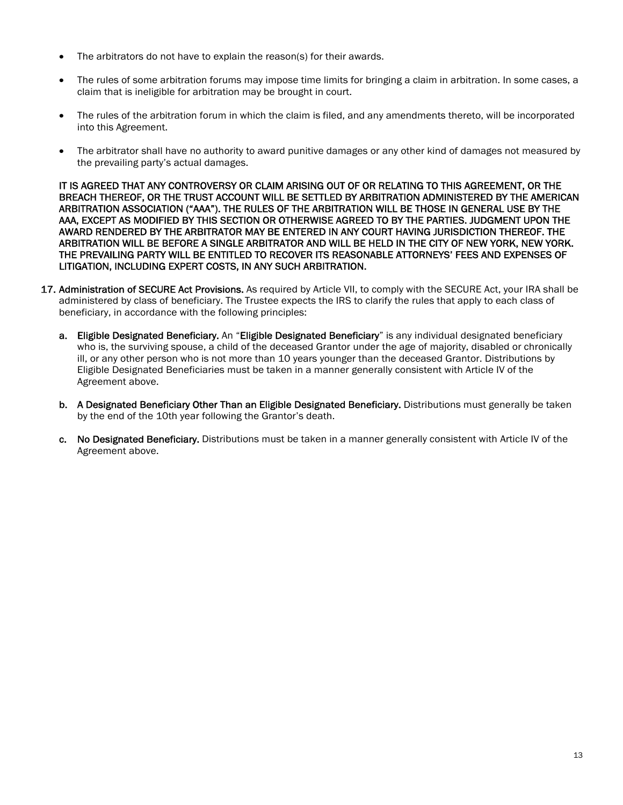- The arbitrators do not have to explain the reason(s) for their awards.
- The rules of some arbitration forums may impose time limits for bringing a claim in arbitration. In some cases, a claim that is ineligible for arbitration may be brought in court.
- The rules of the arbitration forum in which the claim is filed, and any amendments thereto, will be incorporated into this Agreement.
- The arbitrator shall have no authority to award punitive damages or any other kind of damages not measured by the prevailing party's actual damages.

IT IS AGREED THAT ANY CONTROVERSY OR CLAIM ARISING OUT OF OR RELATING TO THIS AGREEMENT, OR THE BREACH THEREOF, OR THE TRUST ACCOUNT WILL BE SETTLED BY ARBITRATION ADMINISTERED BY THE AMERICAN ARBITRATION ASSOCIATION ("AAA"). THE RULES OF THE ARBITRATION WILL BE THOSE IN GENERAL USE BY THE AAA, EXCEPT AS MODIFIED BY THIS SECTION OR OTHERWISE AGREED TO BY THE PARTIES. JUDGMENT UPON THE AWARD RENDERED BY THE ARBITRATOR MAY BE ENTERED IN ANY COURT HAVING JURISDICTION THEREOF. THE ARBITRATION WILL BE BEFORE A SINGLE ARBITRATOR AND WILL BE HELD IN THE CITY OF NEW YORK, NEW YORK. THE PREVAILING PARTY WILL BE ENTITLED TO RECOVER ITS REASONABLE ATTORNEYS' FEES AND EXPENSES OF LITIGATION, INCLUDING EXPERT COSTS, IN ANY SUCH ARBITRATION.

- 17. Administration of SECURE Act Provisions. As required by Article VII, to comply with the SECURE Act, your IRA shall be administered by class of beneficiary. The Trustee expects the IRS to clarify the rules that apply to each class of beneficiary, in accordance with the following principles:
	- a. Eligible Designated Beneficiary. An "Eligible Designated Beneficiary" is any individual designated beneficiary who is, the surviving spouse, a child of the deceased Grantor under the age of majority, disabled or chronically ill, or any other person who is not more than 10 years younger than the deceased Grantor. Distributions by Eligible Designated Beneficiaries must be taken in a manner generally consistent with Article IV of the Agreement above.
	- b. A Designated Beneficiary Other Than an Eligible Designated Beneficiary. Distributions must generally be taken by the end of the 10th year following the Grantor's death.
	- c. No Designated Beneficiary. Distributions must be taken in a manner generally consistent with Article IV of the Agreement above.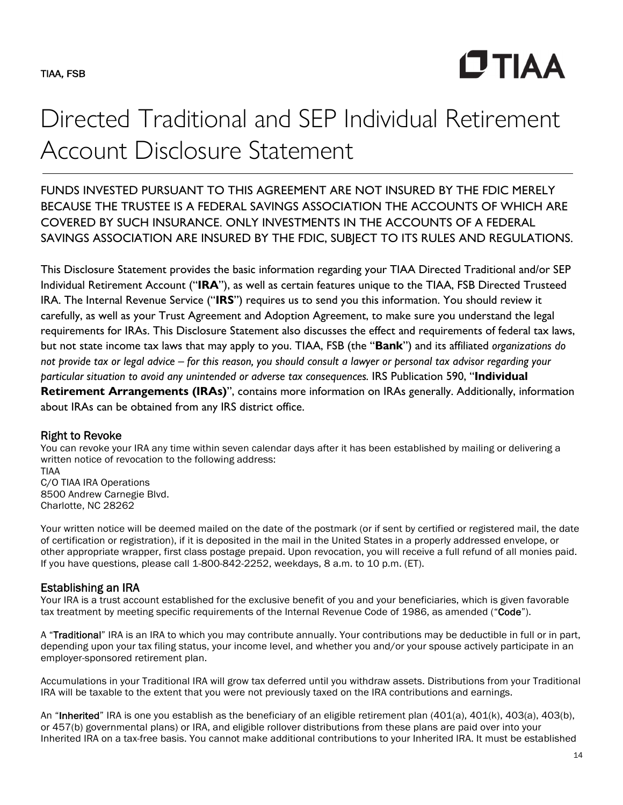**CTIAA** 

# Directed Traditional and SEP Individual Retirement Account Disclosure Statement

FUNDS INVESTED PURSUANT TO THIS AGREEMENT ARE NOT INSURED BY THE FDIC MERELY BECAUSE THE TRUSTEE IS A FEDERAL SAVINGS ASSOCIATION THE ACCOUNTS OF WHICH ARE COVERED BY SUCH INSURANCE. ONLY INVESTMENTS IN THE ACCOUNTS OF A FEDERAL SAVINGS ASSOCIATION ARE INSURED BY THE FDIC, SUBJECT TO ITS RULES AND REGULATIONS.

This Disclosure Statement provides the basic information regarding your TIAA Directed Traditional and/or SEP Individual Retirement Account ("**IRA**"), as well as certain features unique to the TIAA, FSB Directed Trusteed IRA. The Internal Revenue Service ("**IRS**") requires us to send you this information. You should review it carefully, as well as your Trust Agreement and Adoption Agreement, to make sure you understand the legal requirements for IRAs. This Disclosure Statement also discusses the effect and requirements of federal tax laws, but not state income tax laws that may apply to you. TIAA, FSB (the "**Bank**") and its affiliated *organizations do not provide tax or legal advice – for this reason, you should consult a lawyer or personal tax advisor regarding your particular situation to avoid any unintended or adverse tax consequences.* IRS Publication 590, "**Individual Retirement Arrangements (IRAs)**", contains more information on IRAs generally. Additionally, information about IRAs can be obtained from any IRS district office.

## Right to Revoke

You can revoke your IRA any time within seven calendar days after it has been established by mailing or delivering a written notice of revocation to the following address:

TIAA C/O TIAA IRA Operations 8500 Andrew Carnegie Blvd. Charlotte, NC 28262

Your written notice will be deemed mailed on the date of the postmark (or if sent by certified or registered mail, the date of certification or registration), if it is deposited in the mail in the United States in a properly addressed envelope, or other appropriate wrapper, first class postage prepaid. Upon revocation, you will receive a full refund of all monies paid. If you have questions, please call 1-800-842-2252, weekdays, 8 a.m. to 10 p.m. (ET).

## Establishing an IRA

Your IRA is a trust account established for the exclusive benefit of you and your beneficiaries, which is given favorable tax treatment by meeting specific requirements of the Internal Revenue Code of 1986, as amended ("Code").

A "Traditional" IRA is an IRA to which you may contribute annually. Your contributions may be deductible in full or in part, depending upon your tax filing status, your income level, and whether you and/or your spouse actively participate in an employer-sponsored retirement plan.

Accumulations in your Traditional IRA will grow tax deferred until you withdraw assets. Distributions from your Traditional IRA will be taxable to the extent that you were not previously taxed on the IRA contributions and earnings.

An "Inherited" IRA is one you establish as the beneficiary of an eligible retirement plan (401(a), 401(k), 403(a), 403(b), or 457(b) governmental plans) or IRA, and eligible rollover distributions from these plans are paid over into your Inherited IRA on a tax-free basis. You cannot make additional contributions to your Inherited IRA. It must be established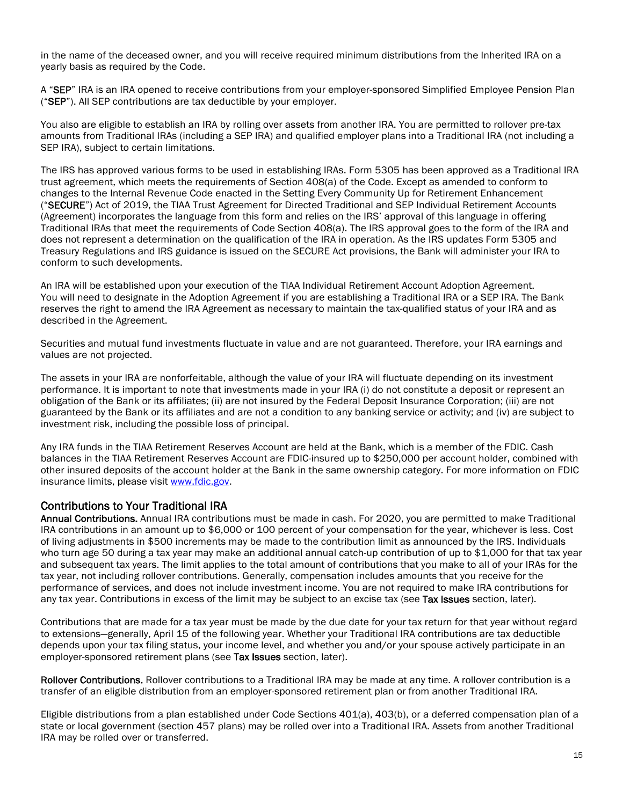in the name of the deceased owner, and you will receive required minimum distributions from the Inherited IRA on a yearly basis as required by the Code.

A "SEP" IRA is an IRA opened to receive contributions from your employer-sponsored Simplified Employee Pension Plan ("SEP"). All SEP contributions are tax deductible by your employer.

You also are eligible to establish an IRA by rolling over assets from another IRA. You are permitted to rollover pre-tax amounts from Traditional IRAs (including a SEP IRA) and qualified employer plans into a Traditional IRA (not including a SEP IRA), subject to certain limitations.

The IRS has approved various forms to be used in establishing IRAs. Form 5305 has been approved as a Traditional IRA trust agreement, which meets the requirements of Section 408(a) of the Code. Except as amended to conform to changes to the Internal Revenue Code enacted in the Setting Every Community Up for Retirement Enhancement ("SECURE") Act of 2019, the TIAA Trust Agreement for Directed Traditional and SEP Individual Retirement Accounts (Agreement) incorporates the language from this form and relies on the IRS' approval of this language in offering Traditional IRAs that meet the requirements of Code Section 408(a). The IRS approval goes to the form of the IRA and does not represent a determination on the qualification of the IRA in operation. As the IRS updates Form 5305 and Treasury Regulations and IRS guidance is issued on the SECURE Act provisions, the Bank will administer your IRA to conform to such developments.

An IRA will be established upon your execution of the TIAA Individual Retirement Account Adoption Agreement. You will need to designate in the Adoption Agreement if you are establishing a Traditional IRA or a SEP IRA. The Bank reserves the right to amend the IRA Agreement as necessary to maintain the tax-qualified status of your IRA and as described in the Agreement.

Securities and mutual fund investments fluctuate in value and are not guaranteed. Therefore, your IRA earnings and values are not projected.

The assets in your IRA are nonforfeitable, although the value of your IRA will fluctuate depending on its investment performance. It is important to note that investments made in your IRA (i) do not constitute a deposit or represent an obligation of the Bank or its affiliates; (ii) are not insured by the Federal Deposit Insurance Corporation; (iii) are not guaranteed by the Bank or its affiliates and are not a condition to any banking service or activity; and (iv) are subject to investment risk, including the possible loss of principal.

Any IRA funds in the TIAA Retirement Reserves Account are held at the Bank, which is a member of the FDIC. Cash balances in the TIAA Retirement Reserves Account are FDIC-insured up to \$250,000 per account holder, combined with other insured deposits of the account holder at the Bank in the same ownership category. For more information on FDIC insurance limits, please visit www.fdic.gov.

## Contributions to Your Traditional IRA

Annual Contributions. Annual IRA contributions must be made in cash. For 2020, you are permitted to make Traditional IRA contributions in an amount up to \$6,000 or 100 percent of your compensation for the year, whichever is less. Cost of living adjustments in \$500 increments may be made to the contribution limit as announced by the IRS. Individuals who turn age 50 during a tax year may make an additional annual catch-up contribution of up to \$1,000 for that tax year and subsequent tax years. The limit applies to the total amount of contributions that you make to all of your IRAs for the tax year, not including rollover contributions. Generally, compensation includes amounts that you receive for the performance of services, and does not include investment income. You are not required to make IRA contributions for any tax year. Contributions in excess of the limit may be subject to an excise tax (see Tax Issues section, later).

Contributions that are made for a tax year must be made by the due date for your tax return for that year without regard to extensions—generally, April 15 of the following year. Whether your Traditional IRA contributions are tax deductible depends upon your tax filing status, your income level, and whether you and/or your spouse actively participate in an employer-sponsored retirement plans (see Tax Issues section, later).

Rollover Contributions. Rollover contributions to a Traditional IRA may be made at any time. A rollover contribution is a transfer of an eligible distribution from an employer-sponsored retirement plan or from another Traditional IRA.

Eligible distributions from a plan established under Code Sections 401(a), 403(b), or a deferred compensation plan of a state or local government (section 457 plans) may be rolled over into a Traditional IRA. Assets from another Traditional IRA may be rolled over or transferred.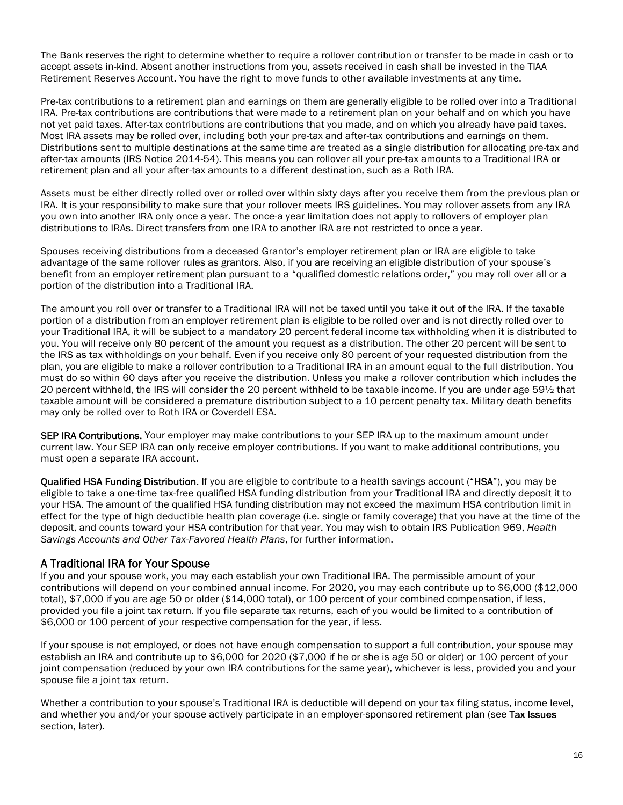The Bank reserves the right to determine whether to require a rollover contribution or transfer to be made in cash or to accept assets in-kind. Absent another instructions from you, assets received in cash shall be invested in the TIAA Retirement Reserves Account. You have the right to move funds to other available investments at any time.

Pre-tax contributions to a retirement plan and earnings on them are generally eligible to be rolled over into a Traditional IRA. Pre-tax contributions are contributions that were made to a retirement plan on your behalf and on which you have not yet paid taxes. After-tax contributions are contributions that you made, and on which you already have paid taxes. Most IRA assets may be rolled over, including both your pre-tax and after-tax contributions and earnings on them. Distributions sent to multiple destinations at the same time are treated as a single distribution for allocating pre-tax and after-tax amounts (IRS Notice 2014-54). This means you can rollover all your pre-tax amounts to a Traditional IRA or retirement plan and all your after-tax amounts to a different destination, such as a Roth IRA.

Assets must be either directly rolled over or rolled over within sixty days after you receive them from the previous plan or IRA. It is your responsibility to make sure that your rollover meets IRS guidelines. You may rollover assets from any IRA you own into another IRA only once a year. The once-a year limitation does not apply to rollovers of employer plan distributions to IRAs. Direct transfers from one IRA to another IRA are not restricted to once a year.

Spouses receiving distributions from a deceased Grantor's employer retirement plan or IRA are eligible to take advantage of the same rollover rules as grantors. Also, if you are receiving an eligible distribution of your spouse's benefit from an employer retirement plan pursuant to a "qualified domestic relations order," you may roll over all or a portion of the distribution into a Traditional IRA.

The amount you roll over or transfer to a Traditional IRA will not be taxed until you take it out of the IRA. If the taxable portion of a distribution from an employer retirement plan is eligible to be rolled over and is not directly rolled over to your Traditional IRA, it will be subject to a mandatory 20 percent federal income tax withholding when it is distributed to you. You will receive only 80 percent of the amount you request as a distribution. The other 20 percent will be sent to the IRS as tax withholdings on your behalf. Even if you receive only 80 percent of your requested distribution from the plan, you are eligible to make a rollover contribution to a Traditional IRA in an amount equal to the full distribution. You must do so within 60 days after you receive the distribution. Unless you make a rollover contribution which includes the 20 percent withheld, the IRS will consider the 20 percent withheld to be taxable income. If you are under age 59½ that taxable amount will be considered a premature distribution subject to a 10 percent penalty tax. Military death benefits may only be rolled over to Roth IRA or Coverdell ESA.

SEP IRA Contributions. Your employer may make contributions to your SEP IRA up to the maximum amount under current law. Your SEP IRA can only receive employer contributions. If you want to make additional contributions, you must open a separate IRA account.

Qualified HSA Funding Distribution. If you are eligible to contribute to a health savings account ("HSA"), you may be eligible to take a one-time tax-free qualified HSA funding distribution from your Traditional IRA and directly deposit it to your HSA. The amount of the qualified HSA funding distribution may not exceed the maximum HSA contribution limit in effect for the type of high deductible health plan coverage (i.e. single or family coverage) that you have at the time of the deposit, and counts toward your HSA contribution for that year. You may wish to obtain IRS Publication 969, *Health Savings Accounts and Other Tax-Favored Health Plans*, for further information.

# A Traditional IRA for Your Spouse

If you and your spouse work, you may each establish your own Traditional IRA. The permissible amount of your contributions will depend on your combined annual income. For 2020, you may each contribute up to \$6,000 (\$12,000 total), \$7,000 if you are age 50 or older (\$14,000 total), or 100 percent of your combined compensation, if less, provided you file a joint tax return. If you file separate tax returns, each of you would be limited to a contribution of \$6,000 or 100 percent of your respective compensation for the year, if less.

If your spouse is not employed, or does not have enough compensation to support a full contribution, your spouse may establish an IRA and contribute up to \$6,000 for 2020 (\$7,000 if he or she is age 50 or older) or 100 percent of your joint compensation (reduced by your own IRA contributions for the same year), whichever is less, provided you and your spouse file a joint tax return.

Whether a contribution to your spouse's Traditional IRA is deductible will depend on your tax filing status, income level, and whether you and/or your spouse actively participate in an employer-sponsored retirement plan (see Tax Issues section, later).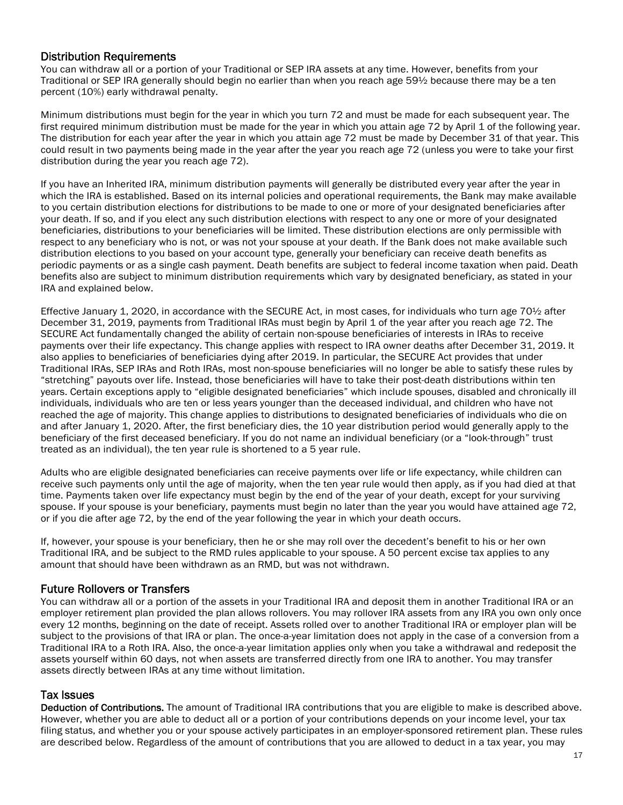## Distribution Requirements

You can withdraw all or a portion of your Traditional or SEP IRA assets at any time. However, benefits from your Traditional or SEP IRA generally should begin no earlier than when you reach age 59½ because there may be a ten percent (10%) early withdrawal penalty.

Minimum distributions must begin for the year in which you turn 72 and must be made for each subsequent year. The first required minimum distribution must be made for the year in which you attain age 72 by April 1 of the following year. The distribution for each year after the year in which you attain age 72 must be made by December 31 of that year. This could result in two payments being made in the year after the year you reach age 72 (unless you were to take your first distribution during the year you reach age 72).

If you have an Inherited IRA, minimum distribution payments will generally be distributed every year after the year in which the IRA is established. Based on its internal policies and operational requirements, the Bank may make available to you certain distribution elections for distributions to be made to one or more of your designated beneficiaries after your death. If so, and if you elect any such distribution elections with respect to any one or more of your designated beneficiaries, distributions to your beneficiaries will be limited. These distribution elections are only permissible with respect to any beneficiary who is not, or was not your spouse at your death. If the Bank does not make available such distribution elections to you based on your account type, generally your beneficiary can receive death benefits as periodic payments or as a single cash payment. Death benefits are subject to federal income taxation when paid. Death benefits also are subject to minimum distribution requirements which vary by designated beneficiary, as stated in your IRA and explained below.

Effective January 1, 2020, in accordance with the SECURE Act, in most cases, for individuals who turn age 70½ after December 31, 2019, payments from Traditional IRAs must begin by April 1 of the year after you reach age 72. The SECURE Act fundamentally changed the ability of certain non-spouse beneficiaries of interests in IRAs to receive payments over their life expectancy. This change applies with respect to IRA owner deaths after December 31, 2019. It also applies to beneficiaries of beneficiaries dying after 2019. In particular, the SECURE Act provides that under Traditional IRAs, SEP IRAs and Roth IRAs, most non-spouse beneficiaries will no longer be able to satisfy these rules by "stretching" payouts over life. Instead, those beneficiaries will have to take their post-death distributions within ten years. Certain exceptions apply to "eligible designated beneficiaries" which include spouses, disabled and chronically ill individuals, individuals who are ten or less years younger than the deceased individual, and children who have not reached the age of majority. This change applies to distributions to designated beneficiaries of individuals who die on and after January 1, 2020. After, the first beneficiary dies, the 10 year distribution period would generally apply to the beneficiary of the first deceased beneficiary. If you do not name an individual beneficiary (or a "look-through" trust treated as an individual), the ten year rule is shortened to a 5 year rule.

Adults who are eligible designated beneficiaries can receive payments over life or life expectancy, while children can receive such payments only until the age of majority, when the ten year rule would then apply, as if you had died at that time. Payments taken over life expectancy must begin by the end of the year of your death, except for your surviving spouse. If your spouse is your beneficiary, payments must begin no later than the year you would have attained age 72, or if you die after age 72, by the end of the year following the year in which your death occurs.

If, however, your spouse is your beneficiary, then he or she may roll over the decedent's benefit to his or her own Traditional IRA, and be subject to the RMD rules applicable to your spouse. A 50 percent excise tax applies to any amount that should have been withdrawn as an RMD, but was not withdrawn.

# Future Rollovers or Transfers

You can withdraw all or a portion of the assets in your Traditional IRA and deposit them in another Traditional IRA or an employer retirement plan provided the plan allows rollovers. You may rollover IRA assets from any IRA you own only once every 12 months, beginning on the date of receipt. Assets rolled over to another Traditional IRA or employer plan will be subject to the provisions of that IRA or plan. The once-a-year limitation does not apply in the case of a conversion from a Traditional IRA to a Roth IRA. Also, the once-a-year limitation applies only when you take a withdrawal and redeposit the assets yourself within 60 days, not when assets are transferred directly from one IRA to another. You may transfer assets directly between IRAs at any time without limitation.

## Tax Issues

Deduction of Contributions. The amount of Traditional IRA contributions that you are eligible to make is described above. However, whether you are able to deduct all or a portion of your contributions depends on your income level, your tax filing status, and whether you or your spouse actively participates in an employer-sponsored retirement plan. These rules are described below. Regardless of the amount of contributions that you are allowed to deduct in a tax year, you may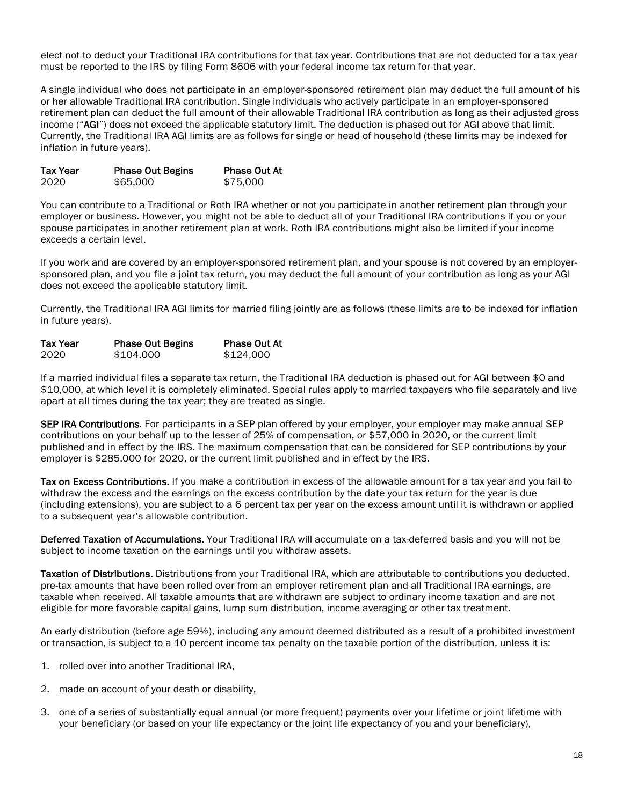elect not to deduct your Traditional IRA contributions for that tax year. Contributions that are not deducted for a tax year must be reported to the IRS by filing Form 8606 with your federal income tax return for that year.

A single individual who does not participate in an employer-sponsored retirement plan may deduct the full amount of his or her allowable Traditional IRA contribution. Single individuals who actively participate in an employer-sponsored retirement plan can deduct the full amount of their allowable Traditional IRA contribution as long as their adjusted gross income ("AGI") does not exceed the applicable statutory limit. The deduction is phased out for AGI above that limit. Currently, the Traditional IRA AGI limits are as follows for single or head of household (these limits may be indexed for inflation in future years).

| <b>Tax Year</b> | <b>Phase Out Begins</b> | <b>Phase Out At</b> |
|-----------------|-------------------------|---------------------|
| 2020            | \$65,000                | \$75,000            |

You can contribute to a Traditional or Roth IRA whether or not you participate in another retirement plan through your employer or business. However, you might not be able to deduct all of your Traditional IRA contributions if you or your spouse participates in another retirement plan at work. Roth IRA contributions might also be limited if your income exceeds a certain level.

If you work and are covered by an employer-sponsored retirement plan, and your spouse is not covered by an employersponsored plan, and you file a joint tax return, you may deduct the full amount of your contribution as long as your AGI does not exceed the applicable statutory limit.

Currently, the Traditional IRA AGI limits for married filing jointly are as follows (these limits are to be indexed for inflation in future years).

| <b>Tax Year</b> | <b>Phase Out Begins</b> | <b>Phase Out At</b> |
|-----------------|-------------------------|---------------------|
| 2020            | \$104,000               | \$124,000           |

If a married individual files a separate tax return, the Traditional IRA deduction is phased out for AGI between \$0 and \$10,000, at which level it is completely eliminated. Special rules apply to married taxpayers who file separately and live apart at all times during the tax year; they are treated as single.

SEP IRA Contributions. For participants in a SEP plan offered by your employer, your employer may make annual SEP contributions on your behalf up to the lesser of 25% of compensation, or \$57,000 in 2020, or the current limit published and in effect by the IRS. The maximum compensation that can be considered for SEP contributions by your employer is \$285,000 for 2020, or the current limit published and in effect by the IRS.

Tax on Excess Contributions. If you make a contribution in excess of the allowable amount for a tax year and you fail to withdraw the excess and the earnings on the excess contribution by the date your tax return for the year is due (including extensions), you are subject to a 6 percent tax per year on the excess amount until it is withdrawn or applied to a subsequent year's allowable contribution.

Deferred Taxation of Accumulations. Your Traditional IRA will accumulate on a tax-deferred basis and you will not be subject to income taxation on the earnings until you withdraw assets.

Taxation of Distributions. Distributions from your Traditional IRA, which are attributable to contributions you deducted, pre-tax amounts that have been rolled over from an employer retirement plan and all Traditional IRA earnings, are taxable when received. All taxable amounts that are withdrawn are subject to ordinary income taxation and are not eligible for more favorable capital gains, lump sum distribution, income averaging or other tax treatment.

An early distribution (before age 59½), including any amount deemed distributed as a result of a prohibited investment or transaction, is subject to a 10 percent income tax penalty on the taxable portion of the distribution, unless it is:

- 1. rolled over into another Traditional IRA,
- 2. made on account of your death or disability,
- 3. one of a series of substantially equal annual (or more frequent) payments over your lifetime or joint lifetime with your beneficiary (or based on your life expectancy or the joint life expectancy of you and your beneficiary),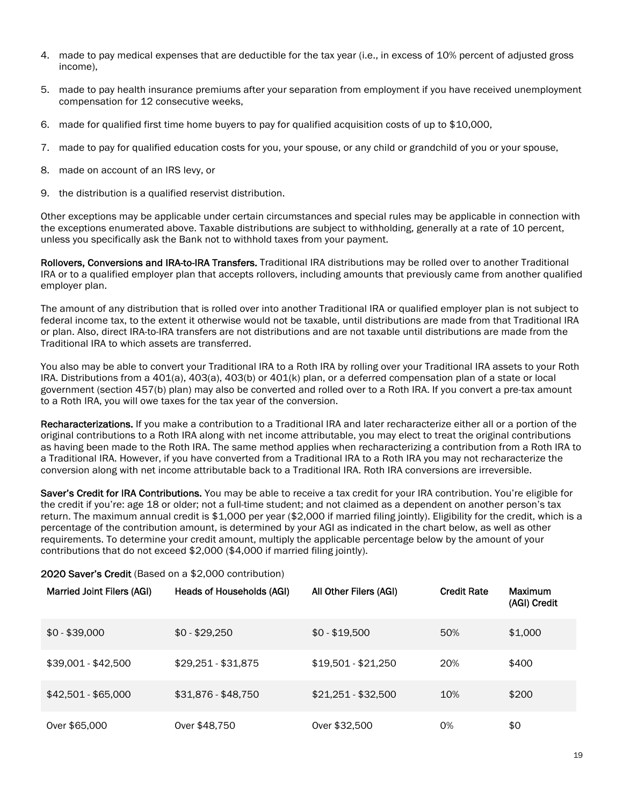- 4. made to pay medical expenses that are deductible for the tax year (i.e., in excess of 10% percent of adjusted gross income),
- 5. made to pay health insurance premiums after your separation from employment if you have received unemployment compensation for 12 consecutive weeks,
- 6. made for qualified first time home buyers to pay for qualified acquisition costs of up to \$10,000,
- 7. made to pay for qualified education costs for you, your spouse, or any child or grandchild of you or your spouse,
- 8. made on account of an IRS levy, or
- 9. the distribution is a qualified reservist distribution.

Other exceptions may be applicable under certain circumstances and special rules may be applicable in connection with the exceptions enumerated above. Taxable distributions are subject to withholding, generally at a rate of 10 percent, unless you specifically ask the Bank not to withhold taxes from your payment.

Rollovers, Conversions and IRA-to-IRA Transfers. Traditional IRA distributions may be rolled over to another Traditional IRA or to a qualified employer plan that accepts rollovers, including amounts that previously came from another qualified employer plan.

The amount of any distribution that is rolled over into another Traditional IRA or qualified employer plan is not subject to federal income tax, to the extent it otherwise would not be taxable, until distributions are made from that Traditional IRA or plan. Also, direct IRA-to-IRA transfers are not distributions and are not taxable until distributions are made from the Traditional IRA to which assets are transferred.

You also may be able to convert your Traditional IRA to a Roth IRA by rolling over your Traditional IRA assets to your Roth IRA. Distributions from a 401(a), 403(a), 403(b) or 401(k) plan, or a deferred compensation plan of a state or local government (section 457(b) plan) may also be converted and rolled over to a Roth IRA. If you convert a pre-tax amount to a Roth IRA, you will owe taxes for the tax year of the conversion.

Recharacterizations. If you make a contribution to a Traditional IRA and later recharacterize either all or a portion of the original contributions to a Roth IRA along with net income attributable, you may elect to treat the original contributions as having been made to the Roth IRA. The same method applies when recharacterizing a contribution from a Roth IRA to a Traditional IRA. However, if you have converted from a Traditional IRA to a Roth IRA you may not recharacterize the conversion along with net income attributable back to a Traditional IRA. Roth IRA conversions are irreversible.

Saver's Credit for IRA Contributions. You may be able to receive a tax credit for your IRA contribution. You're eligible for the credit if you're: age 18 or older; not a full-time student; and not claimed as a dependent on another person's tax return. The maximum annual credit is \$1,000 per year (\$2,000 if married filing jointly). Eligibility for the credit, which is a percentage of the contribution amount, is determined by your AGI as indicated in the chart below, as well as other requirements. To determine your credit amount, multiply the applicable percentage below by the amount of your contributions that do not exceed \$2,000 (\$4,000 if married filing jointly).

#### 2020 Saver's Credit (Based on a \$2,000 contribution)

| <b>Married Joint Filers (AGI)</b> | Heads of Households (AGI) | All Other Filers (AGI) | <b>Credit Rate</b> | Maximum<br>(AGI) Credit |
|-----------------------------------|---------------------------|------------------------|--------------------|-------------------------|
| $$0 - $39,000$                    | $$0 - $29.250$            | $$0 - $19,500$         | 50%                | \$1,000                 |
| $$39,001 - $42,500$               | $$29,251 - $31,875$       | \$19,501 - \$21,250    | 20%                | \$400                   |
| $$42,501 - $65,000$               | \$31,876 - \$48,750       | $$21,251 - $32,500$    | 10%                | \$200                   |
| Over \$65,000                     | 0ver \$48,750             | Over \$32,500          | 0%                 | \$0                     |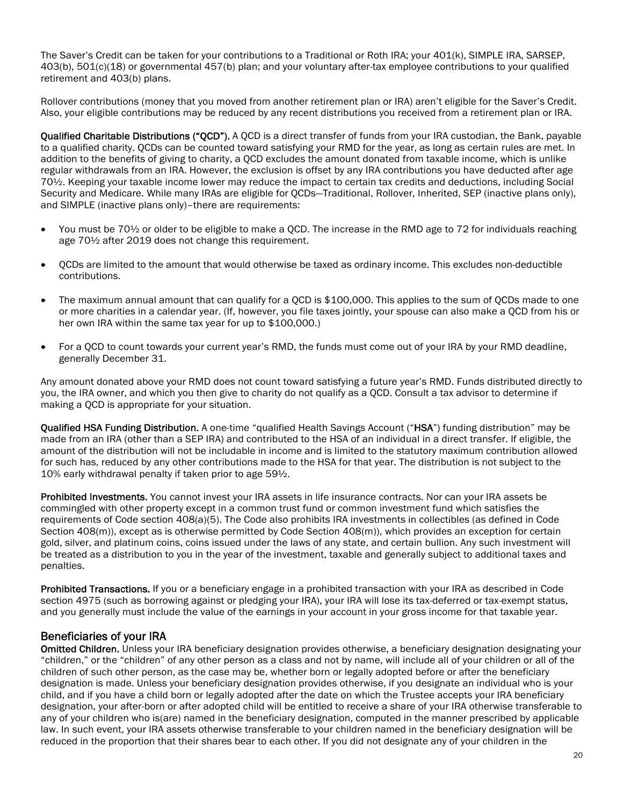The Saver's Credit can be taken for your contributions to a Traditional or Roth IRA; your 401(k), SIMPLE IRA, SARSEP, 403(b), 501(c)(18) or governmental 457(b) plan; and your voluntary after-tax employee contributions to your qualified retirement and 403(b) plans.

Rollover contributions (money that you moved from another retirement plan or IRA) aren't eligible for the Saver's Credit. Also, your eligible contributions may be reduced by any recent distributions you received from a retirement plan or IRA.

Qualified Charitable Distributions ("QCD"). A QCD is a direct transfer of funds from your IRA custodian, the Bank, payable to a qualified charity. QCDs can be counted toward satisfying your RMD for the year, as long as certain rules are met. In addition to the benefits of giving to charity, a QCD excludes the amount donated from taxable income, which is unlike regular withdrawals from an IRA. However, the exclusion is offset by any IRA contributions you have deducted after age 70½. Keeping your taxable income lower may reduce the impact to certain tax credits and deductions, including Social Security and Medicare. While many IRAs are eligible for QCDs—Traditional, Rollover, Inherited, SEP (inactive plans only), and SIMPLE (inactive plans only)–there are requirements:

- You must be 70<sup>1</sup>/<sub>2</sub> or older to be eligible to make a QCD. The increase in the RMD age to 72 for individuals reaching age 70½ after 2019 does not change this requirement.
- QCDs are limited to the amount that would otherwise be taxed as ordinary income. This excludes non-deductible contributions.
- The maximum annual amount that can qualify for a QCD is \$100,000. This applies to the sum of QCDs made to one or more charities in a calendar year. (If, however, you file taxes jointly, your spouse can also make a QCD from his or her own IRA within the same tax year for up to \$100,000.)
- For a QCD to count towards your current year's RMD, the funds must come out of your IRA by your RMD deadline, generally December 31.

Any amount donated above your RMD does not count toward satisfying a future year's RMD. Funds distributed directly to you, the IRA owner, and which you then give to charity do not qualify as a QCD. Consult a tax advisor to determine if making a QCD is appropriate for your situation.

Qualified HSA Funding Distribution. A one-time "qualified Health Savings Account ("HSA") funding distribution" may be made from an IRA (other than a SEP IRA) and contributed to the HSA of an individual in a direct transfer. If eligible, the amount of the distribution will not be includable in income and is limited to the statutory maximum contribution allowed for such has, reduced by any other contributions made to the HSA for that year. The distribution is not subject to the 10% early withdrawal penalty if taken prior to age 59½.

Prohibited Investments. You cannot invest your IRA assets in life insurance contracts. Nor can your IRA assets be commingled with other property except in a common trust fund or common investment fund which satisfies the requirements of Code section 408(a)(5). The Code also prohibits IRA investments in collectibles (as defined in Code Section 408(m)), except as is otherwise permitted by Code Section 408(m)), which provides an exception for certain gold, silver, and platinum coins, coins issued under the laws of any state, and certain bullion. Any such investment will be treated as a distribution to you in the year of the investment, taxable and generally subject to additional taxes and penalties.

Prohibited Transactions. If you or a beneficiary engage in a prohibited transaction with your IRA as described in Code section 4975 (such as borrowing against or pledging your IRA), your IRA will lose its tax-deferred or tax-exempt status, and you generally must include the value of the earnings in your account in your gross income for that taxable year.

## Beneficiaries of your IRA

Omitted Children. Unless your IRA beneficiary designation provides otherwise, a beneficiary designation designating your "children," or the "children" of any other person as a class and not by name, will include all of your children or all of the children of such other person, as the case may be, whether born or legally adopted before or after the beneficiary designation is made. Unless your beneficiary designation provides otherwise, if you designate an individual who is your child, and if you have a child born or legally adopted after the date on which the Trustee accepts your IRA beneficiary designation, your after-born or after adopted child will be entitled to receive a share of your IRA otherwise transferable to any of your children who is(are) named in the beneficiary designation, computed in the manner prescribed by applicable law. In such event, your IRA assets otherwise transferable to your children named in the beneficiary designation will be reduced in the proportion that their shares bear to each other. If you did not designate any of your children in the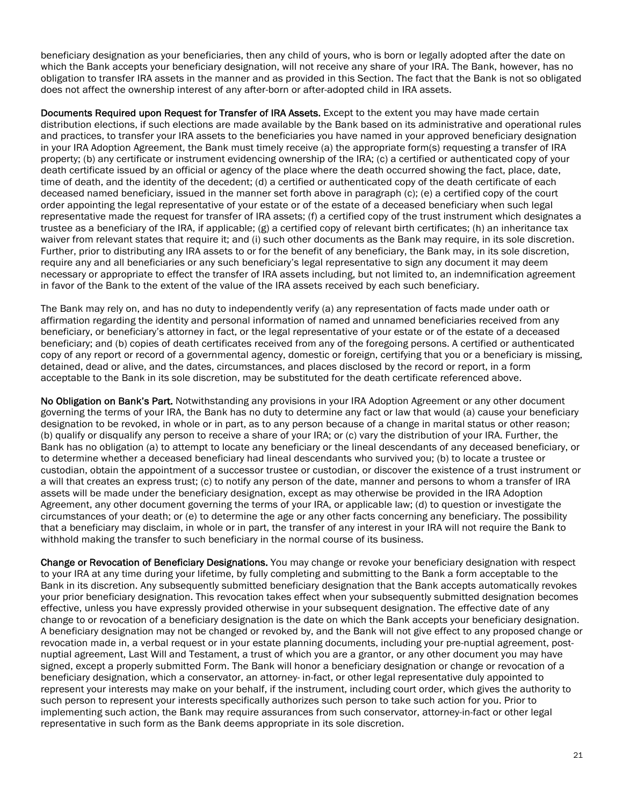beneficiary designation as your beneficiaries, then any child of yours, who is born or legally adopted after the date on which the Bank accepts your beneficiary designation, will not receive any share of your IRA. The Bank, however, has no obligation to transfer IRA assets in the manner and as provided in this Section. The fact that the Bank is not so obligated does not affect the ownership interest of any after-born or after-adopted child in IRA assets.

Documents Required upon Request for Transfer of IRA Assets. Except to the extent you may have made certain distribution elections, if such elections are made available by the Bank based on its administrative and operational rules and practices, to transfer your IRA assets to the beneficiaries you have named in your approved beneficiary designation in your IRA Adoption Agreement, the Bank must timely receive (a) the appropriate form(s) requesting a transfer of IRA property; (b) any certificate or instrument evidencing ownership of the IRA; (c) a certified or authenticated copy of your death certificate issued by an official or agency of the place where the death occurred showing the fact, place, date, time of death, and the identity of the decedent; (d) a certified or authenticated copy of the death certificate of each deceased named beneficiary, issued in the manner set forth above in paragraph (c); (e) a certified copy of the court order appointing the legal representative of your estate or of the estate of a deceased beneficiary when such legal representative made the request for transfer of IRA assets; (f) a certified copy of the trust instrument which designates a trustee as a beneficiary of the IRA, if applicable; (g) a certified copy of relevant birth certificates; (h) an inheritance tax waiver from relevant states that require it; and (i) such other documents as the Bank may require, in its sole discretion. Further, prior to distributing any IRA assets to or for the benefit of any beneficiary, the Bank may, in its sole discretion, require any and all beneficiaries or any such beneficiary's legal representative to sign any document it may deem necessary or appropriate to effect the transfer of IRA assets including, but not limited to, an indemnification agreement in favor of the Bank to the extent of the value of the IRA assets received by each such beneficiary.

The Bank may rely on, and has no duty to independently verify (a) any representation of facts made under oath or affirmation regarding the identity and personal information of named and unnamed beneficiaries received from any beneficiary, or beneficiary's attorney in fact, or the legal representative of your estate or of the estate of a deceased beneficiary; and (b) copies of death certificates received from any of the foregoing persons. A certified or authenticated copy of any report or record of a governmental agency, domestic or foreign, certifying that you or a beneficiary is missing, detained, dead or alive, and the dates, circumstances, and places disclosed by the record or report, in a form acceptable to the Bank in its sole discretion, may be substituted for the death certificate referenced above.

No Obligation on Bank's Part. Notwithstanding any provisions in your IRA Adoption Agreement or any other document governing the terms of your IRA, the Bank has no duty to determine any fact or law that would (a) cause your beneficiary designation to be revoked, in whole or in part, as to any person because of a change in marital status or other reason; (b) qualify or disqualify any person to receive a share of your IRA; or (c) vary the distribution of your IRA. Further, the Bank has no obligation (a) to attempt to locate any beneficiary or the lineal descendants of any deceased beneficiary, or to determine whether a deceased beneficiary had lineal descendants who survived you; (b) to locate a trustee or custodian, obtain the appointment of a successor trustee or custodian, or discover the existence of a trust instrument or a will that creates an express trust; (c) to notify any person of the date, manner and persons to whom a transfer of IRA assets will be made under the beneficiary designation, except as may otherwise be provided in the IRA Adoption Agreement, any other document governing the terms of your IRA, or applicable law; (d) to question or investigate the circumstances of your death; or (e) to determine the age or any other facts concerning any beneficiary. The possibility that a beneficiary may disclaim, in whole or in part, the transfer of any interest in your IRA will not require the Bank to withhold making the transfer to such beneficiary in the normal course of its business.

Change or Revocation of Beneficiary Designations. You may change or revoke your beneficiary designation with respect to your IRA at any time during your lifetime, by fully completing and submitting to the Bank a form acceptable to the Bank in its discretion. Any subsequently submitted beneficiary designation that the Bank accepts automatically revokes your prior beneficiary designation. This revocation takes effect when your subsequently submitted designation becomes effective, unless you have expressly provided otherwise in your subsequent designation. The effective date of any change to or revocation of a beneficiary designation is the date on which the Bank accepts your beneficiary designation. A beneficiary designation may not be changed or revoked by, and the Bank will not give effect to any proposed change or revocation made in, a verbal request or in your estate planning documents, including your pre-nuptial agreement, postnuptial agreement, Last Will and Testament, a trust of which you are a grantor, or any other document you may have signed, except a properly submitted Form. The Bank will honor a beneficiary designation or change or revocation of a beneficiary designation, which a conservator, an attorney- in-fact, or other legal representative duly appointed to represent your interests may make on your behalf, if the instrument, including court order, which gives the authority to such person to represent your interests specifically authorizes such person to take such action for you. Prior to implementing such action, the Bank may require assurances from such conservator, attorney-in-fact or other legal representative in such form as the Bank deems appropriate in its sole discretion.